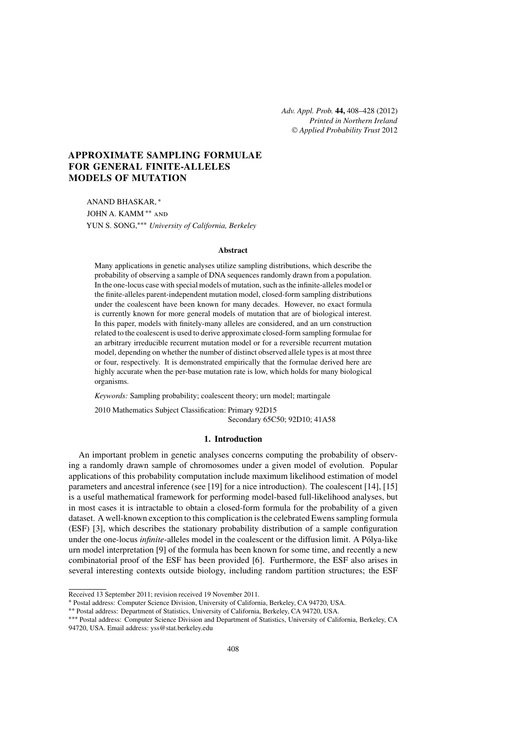*Adv. Appl. Prob.* **44,** 408[–428](#page-19-0) (2012) *Printed in Northern Ireland* © *[Applied Probability Trust](http://www.appliedprobability.org)* 2012

# **APPROXIMATE SAMPLING FORMULAE FOR GENERAL FINITE-ALLELES MODELS OF MUTATION**

ANAND BHASKAR, <sup>∗</sup> JOHN A. KAMM ∗∗ and YUN S. SONG,∗∗∗ *University of California, Berkeley*

#### **Abstract**

Many applications in genetic analyses utilize sampling distributions, which describe the probability of observing a sample of DNA sequences randomly drawn from a population. In the one-locus case with special models of mutation, such as the infinite-alleles model or the finite-alleles parent-independent mutation model, closed-form sampling distributions under the coalescent have been known for many decades. However, no exact formula is currently known for more general models of mutation that are of biological interest. In this paper, models with finitely-many alleles are considered, and an urn construction related to the coalescent is used to derive approximate closed-form sampling formulae for an arbitrary irreducible recurrent mutation model or for a reversible recurrent mutation model, depending on whether the number of distinct observed allele types is at most three or four, respectively. It is demonstrated empirically that the formulae derived here are highly accurate when the per-base mutation rate is low, which holds for many biological organisms.

*Keywords:* Sampling probability; coalescent theory; urn model; martingale

2010 Mathematics Subject Classification: Primary 92D15 Secondary 65C50; 92D10; 41A58

### **1. Introduction**

An important problem in genetic analyses concerns computing the probability of observing a randomly drawn sample of chromosomes under a given model of evolution. Popular applications of this probability computation include maximum likelihood estimation of model parameters and ancestral inference (see [\[19\]](#page-20-0) for a nice introduction). The coalescent [\[14\]](#page-19-0), [\[15\]](#page-19-0) is a useful mathematical framework for performing model-based full-likelihood analyses, but in most cases it is intractable to obtain a closed-form formula for the probability of a given dataset. A well-known exception to this complication is the celebrated Ewens sampling formula (ESF) [\[3\]](#page-19-0), which describes the stationary probability distribution of a sample configuration under the one-locus *infinite*-alleles model in the coalescent or the diffusion limit. A Pólya-like urn model interpretation [\[9\]](#page-19-0) of the formula has been known for some time, and recently a new combinatorial proof of the ESF has been provided [\[6\]](#page-19-0). Furthermore, the ESF also arises in several interesting contexts outside biology, including random partition structures; the ESF

Received 13 September 2011; revision received 19 November 2011.

<sup>∗</sup> Postal address: Computer Science Division, University of California, Berkeley, CA 94720, USA.

<sup>∗∗</sup> Postal address: Department of Statistics, University of California, Berkeley, CA 94720, USA. ∗∗∗ Postal address: Computer Science Division and Department of Statistics, University of California, Berkeley, CA 94720, USA. Email address: [yss@stat.berkeley.edu](mailto:yss@stat.berkeley.edu?subject=Adv. Appl. Prob.%20paper%2014145)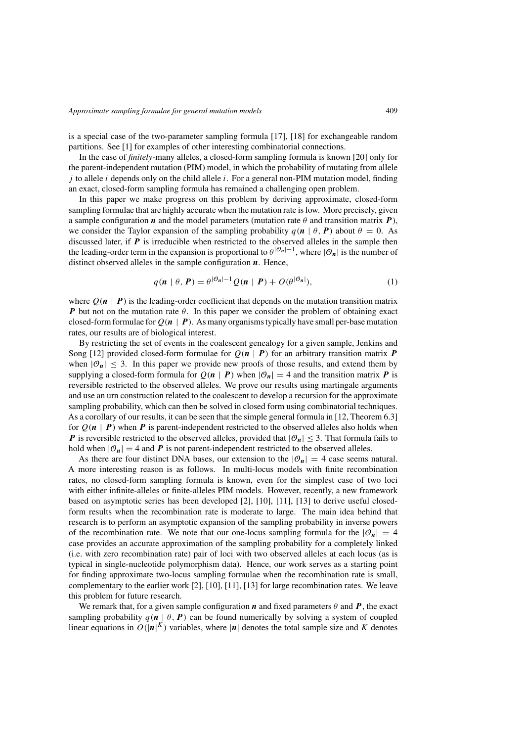<span id="page-1-0"></span>is a special case of the two-parameter sampling formula [\[17\]](#page-20-0), [\[18\]](#page-20-0) for exchangeable random partitions. See [\[1\]](#page-19-0) for examples of other interesting combinatorial connections.

In the case of *finitely*-many alleles, a closed-form sampling formula is known [\[20\]](#page-20-0) only for the parent-independent mutation (PIM) model, in which the probability of mutating from allele *j* to allele *i* depends only on the child allele *i*. For a general non-PIM mutation model, finding an exact, closed-form sampling formula has remained a challenging open problem.

In this paper we make progress on this problem by deriving approximate, closed-form sampling formulae that are highly accurate when the mutation rate is low. More precisely, given a sample configuration *n* and the model parameters (mutation rate  $\theta$  and transition matrix *P*), we consider the Taylor expansion of the sampling probability  $q(n | \theta, P)$  about  $\theta = 0$ . As discussed later, if *P* is irreducible when restricted to the observed alleles in the sample then the leading-order term in the expansion is proportional to  $\theta^{|\mathcal{O}_n|-1}$ , where  $|\mathcal{O}_n|$  is the number of distinct observed alleles in the sample configuration *n*. Hence,

$$
q(\mathbf{n} \mid \theta, \mathbf{P}) = \theta^{|\mathcal{O}_n| - 1} Q(\mathbf{n} \mid \mathbf{P}) + O(\theta^{|\mathcal{O}_n|}), \tag{1}
$$

where  $Q(n | P)$  is the leading-order coefficient that depends on the mutation transition matrix *P* but not on the mutation rate *θ*. In this paper we consider the problem of obtaining exact closed-form formulae for  $Q(n | P)$ . As many organisms typically have small per-base mutation rates, our results are of biological interest.

By restricting the set of events in the coalescent genealogy for a given sample, Jenkins and Song [\[12\]](#page-19-0) provided closed-form formulae for  $Q(n | P)$  for an arbitrary transition matrix **P** when  $|\mathcal{O}_n| \leq 3$ . In this paper we provide new proofs of those results, and extend them by supplying a closed-form formula for  $Q(n | P)$  when  $|\mathcal{O}_n| = 4$  and the transition matrix P is reversible restricted to the observed alleles. We prove our results using martingale arguments and use an urn construction related to the coalescent to develop a recursion for the approximate sampling probability, which can then be solved in closed form using combinatorial techniques. As a corollary of our results, it can be seen that the simple general formula in [\[12,](#page-19-0) Theorem 6.3] for  $Q(n | P)$  when P is parent-independent restricted to the observed alleles also holds when *P* is reversible restricted to the observed alleles, provided that  $|\mathcal{O}_n| \leq 3$ . That formula fails to hold when  $|\mathcal{O}_n| = 4$  and *P* is not parent-independent restricted to the observed alleles.

As there are four distinct DNA bases, our extension to the  $|\mathcal{O}_n| = 4$  case seems natural. A more interesting reason is as follows. In multi-locus models with finite recombination rates, no closed-form sampling formula is known, even for the simplest case of two loci with either infinite-alleles or finite-alleles PIM models. However, recently, a new framework based on asymptotic series has been developed [\[2\]](#page-19-0), [\[10\]](#page-19-0), [\[11\]](#page-19-0), [\[13\]](#page-19-0) to derive useful closedform results when the recombination rate is moderate to large. The main idea behind that research is to perform an asymptotic expansion of the sampling probability in inverse powers of the recombination rate. We note that our one-locus sampling formula for the  $|\mathcal{O}_n| = 4$ case provides an accurate approximation of the sampling probability for a completely linked (i.e. with zero recombination rate) pair of loci with two observed alleles at each locus (as is typical in single-nucleotide polymorphism data). Hence, our work serves as a starting point for finding approximate two-locus sampling formulae when the recombination rate is small, complementary to the earlier work [\[2\]](#page-19-0), [\[10\]](#page-19-0), [\[11\]](#page-19-0), [\[13\]](#page-19-0) for large recombination rates. We leave this problem for future research.

We remark that, for a given sample configuration *n* and fixed parameters  $\theta$  and **P**, the exact sampling probability  $q(n | \theta, P)$  can be found numerically by solving a system of coupled linear equations in  $O(|n|^K)$  variables, where |n| denotes the total sample size and K denotes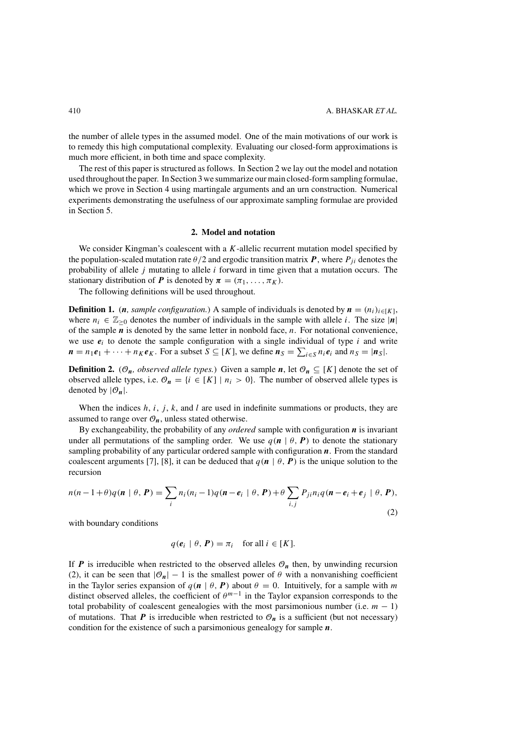<span id="page-2-0"></span>the number of allele types in the assumed model. One of the main motivations of our work is to remedy this high computational complexity. Evaluating our closed-form approximations is much more efficient, in both time and space complexity.

The rest of this paper is structured as follows. In Section 2 we lay out the model and notation used throughout the paper. In Section [3 w](#page-3-0)e summarize our main closed-form sampling formulae, which we prove in Section [4](#page-4-0) using martingale arguments and an urn construction. Numerical experiments demonstrating the usefulness of our approximate sampling formulae are provided in Section [5.](#page-15-0)

### **2. Model and notation**

We consider Kingman's coalescent with a *K*-allelic recurrent mutation model specified by the population-scaled mutation rate  $\theta/2$  and ergodic transition matrix  $P$ , where  $P_{ji}$  denotes the probability of allele *j* mutating to allele *i* forward in time given that a mutation occurs. The stationary distribution of *P* is denoted by  $\pi = (\pi_1, \dots, \pi_K)$ .

The following definitions will be used throughout.

**Definition 1.** (*n*, *sample configuration.*) A sample of individuals is denoted by  $\mathbf{n} = (n_i)_{i \in [K]}$ , where  $n_i \in \mathbb{Z}_{\geq 0}$  denotes the number of individuals in the sample with allele *i*. The size  $|\mathbf{n}|$ of the sample *n* is denoted by the same letter in nonbold face, *n*. For notational convenience, we use  $e_i$  to denote the sample configuration with a single individual of type  $i$  and write  $n = n_1e_1 + \cdots + nKe_K$ . For a subset  $S \subseteq [K]$ , we define  $n_S = \sum_{i \in S} n_i e_i$  and  $n_S = |n_S|$ .

**Definition 2.** ( $\mathcal{O}_n$ *, observed allele types.*) Given a sample *n*, let  $\mathcal{O}_n \subseteq [K]$  denote the set of observed allele types, i.e.  $\mathcal{O}_n = \{i \in [K] \mid n_i > 0\}$ . The number of observed allele types is denoted by  $|\mathcal{O}_n|$ .

When the indices *h*, *i*, *j* , *k*, and *l* are used in indefinite summations or products, they are assumed to range over  $\mathcal{O}_n$ , unless stated otherwise.

By exchangeability, the probability of any *ordered* sample with configuration *n* is invariant under all permutations of the sampling order. We use  $q(n | \theta, P)$  to denote the stationary sampling probability of any particular ordered sample with configuration *n*. From the standard coalescent arguments [\[7\]](#page-19-0), [\[8\]](#page-19-0), it can be deduced that  $q(n | \theta, P)$  is the unique solution to the recursion

$$
n(n-1+\theta)q(\mathbf{n} \mid \theta, \mathbf{P}) = \sum_{i} n_i(n_i-1)q(\mathbf{n}-\mathbf{e}_i \mid \theta, \mathbf{P}) + \theta \sum_{i,j} P_{ji}n_iq(\mathbf{n}-\mathbf{e}_i+\mathbf{e}_j \mid \theta, \mathbf{P}),
$$
\n(2)

with boundary conditions

$$
q(e_i \mid \theta, P) = \pi_i \quad \text{for all } i \in [K].
$$

If *P* is irreducible when restricted to the observed alleles  $\mathcal{O}_n$  then, by unwinding recursion (2), it can be seen that  $|O_n| - 1$  is the smallest power of  $\theta$  with a nonvanishing coefficient in the Taylor series expansion of  $q(n | \theta, P)$  about  $\theta = 0$ . Intuitively, for a sample with *m* distinct observed alleles, the coefficient of  $\theta^{m-1}$  in the Taylor expansion corresponds to the total probability of coalescent genealogies with the most parsimonious number (i.e.  $m - 1$ ) of mutations. That  $P$  is irreducible when restricted to  $\mathcal{O}_n$  is a sufficient (but not necessary) condition for the existence of such a parsimonious genealogy for sample *n*.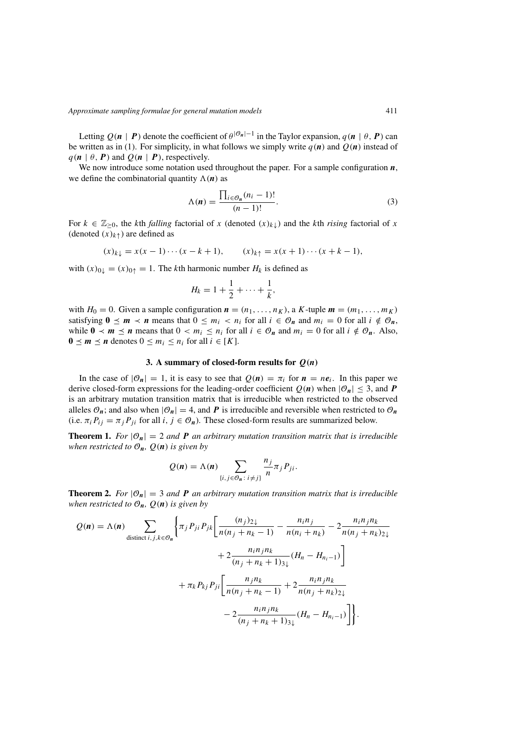<span id="page-3-0"></span>Letting  $O(n | P)$  denote the coefficient of  $\theta^{|\mathcal{O}_n| - 1}$  in the Taylor expansion,  $q(n | \theta, P)$  can be written as in [\(1\)](#page-1-0). For simplicity, in what follows we simply write  $q(n)$  and  $Q(n)$  instead of  $q(n | \theta, P)$  and  $Q(n | P)$ , respectively.

We now introduce some notation used throughout the paper. For a sample configuration *n*, we define the combinatorial quantity  $\Lambda(n)$  as

$$
\Lambda(n) = \frac{\prod_{i \in \mathcal{O}_n} (n_i - 1)!}{(n - 1)!}.
$$
\n(3)

For  $k \in \mathbb{Z}_{\geq 0}$ , the *k*th *falling* factorial of *x* (denoted  $(x)_{k\downarrow}$ ) and the *k*th *rising* factorial of *x* (denoted  $(x)_{k\uparrow}$ ) are defined as

$$
(x)_{k\downarrow} = x(x-1)\cdots(x-k+1),
$$
  $(x)_{k\uparrow} = x(x+1)\cdots(x+k-1),$ 

with  $(x)_{0\downarrow} = (x)_{0\uparrow} = 1$ . The *k*th harmonic number  $H_k$  is defined as

$$
H_k=1+\frac{1}{2}+\cdots+\frac{1}{k},
$$

with  $H_0 = 0$ . Given a sample configuration  $\mathbf{n} = (n_1, \ldots, n_K)$ , a *K*-tuple  $\mathbf{m} = (m_1, \ldots, m_K)$ satisfying  $0 \le m \le n$  means that  $0 \le m_i \le n_i$  for all  $i \in \mathcal{O}_n$  and  $m_i = 0$  for all  $i \notin \mathcal{O}_n$ , while  $0 \lt m \le n$  means that  $0 \lt m_i \le n_i$  for all  $i \in \mathcal{O}_n$  and  $m_i = 0$  for all  $i \notin \mathcal{O}_n$ . Also, **0** ≤ *m* ≤ *n* denotes 0 ≤ *m<sub>i</sub>* ≤ *n<sub>i</sub>* for all *i* ∈ [*K*].

### **3.** A summary of closed-form results for  $Q(n)$

In the case of  $|O_n| = 1$ , it is easy to see that  $Q(n) = \pi_i$  for  $n = ne_i$ . In this paper we derive closed-form expressions for the leading-order coefficient  $Q(n)$  when  $|\mathcal{O}_n| \leq 3$ , and **P** is an arbitrary mutation transition matrix that is irreducible when restricted to the observed alleles  $\mathcal{O}_n$ ; and also when  $|\mathcal{O}_n| = 4$ , and **P** is irreducible and reversible when restricted to  $\mathcal{O}_n$ (i.e.  $\pi_i P_{ij} = \pi_j P_{ji}$  for all  $i, j \in \mathcal{O}_n$ ). These closed-form results are summarized below.

**Theorem 1.** *For*  $|\mathcal{O}_n| = 2$  *and* **P** *an arbitrary mutation transition matrix that is irreducible when restricted to*  $\mathcal{O}_n$ *,*  $Q(n)$  *is given by* 

$$
Q(n) = \Lambda(n) \sum_{\{i, j \in \mathcal{O}_n : i \neq j\}} \frac{n_j}{n} \pi_j P_{ji}.
$$

**Theorem 2.** *For*  $|O_n| = 3$  *and* **P** *an arbitrary mutation transition matrix that is irreducible when restricted to*  $\mathcal{O}_n$ *,*  $Q(n)$  *is given by* 

$$
Q(n) = \Lambda(n) \sum_{\text{distinct } i,j,k \in \mathcal{O}_n} \left\{ \pi_j P_{ji} P_{jk} \left[ \frac{(n_j)_{2\downarrow}}{n(n_j + n_k - 1)} - \frac{n_i n_j}{n(n_i + n_k)} - 2 \frac{n_i n_j n_k}{n(n_j + n_k)_{2\downarrow}} + 2 \frac{n_i n_j n_k}{(n_j + n_k + 1)_{3\downarrow}} (H_n - H_{n_i - 1}) \right] + \pi_k P_{kj} P_{ji} \left[ \frac{n_j n_k}{n(n_j + n_k - 1)} + 2 \frac{n_i n_j n_k}{n(n_j + n_k)_{2\downarrow}} - 2 \frac{n_i n_j n_k}{(n_j + n_k + 1)_{3\downarrow}} (H_n - H_{n_i - 1}) \right] \right\}.
$$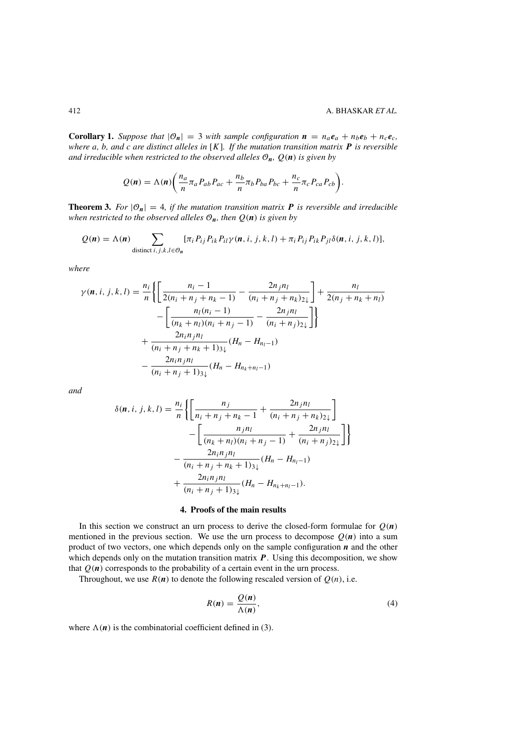<span id="page-4-0"></span>**Corollary 1.** *Suppose that*  $|\mathcal{O}_n| = 3$  *with sample configuration*  $n = n_a e_a + n_b e_b + n_c e_c$ *where a, b, and c are distinct alleles in* [*K*]*. If the mutation transition matrix P is reversible and irreducible when restricted to the observed alleles*  $\mathcal{O}_n$ *,*  $Q(n)$  *is given by* 

$$
Q(n) = \Lambda(n) \bigg( \frac{n_a}{n} \pi_a P_{ab} P_{ac} + \frac{n_b}{n} \pi_b P_{ba} P_{bc} + \frac{n_c}{n} \pi_c P_{ca} P_{cb} \bigg).
$$

**Theorem 3.** *For*  $|\mathcal{O}_n| = 4$ *, if the mutation transition matrix* **P** *is reversible and irreducible when restricted to the observed alleles*  $\mathcal{O}_n$ *, then*  $Q(n)$  *is given by* 

$$
Q(\boldsymbol{n}) = \Lambda(\boldsymbol{n}) \sum_{\text{distinct } i,j,k,l \in \mathcal{O}_{\boldsymbol{n}}} [\pi_i P_{ij} P_{ik} P_{il} \gamma(\boldsymbol{n}, i, j, k, l) + \pi_i P_{ij} P_{ik} P_{jl} \delta(\boldsymbol{n}, i, j, k, l)],
$$

*where*

$$
\gamma(n, i, j, k, l) = \frac{n_i}{n} \left\{ \left[ \frac{n_i - 1}{2(n_i + n_j + n_k - 1)} - \frac{2n_j n_l}{(n_i + n_j + n_k)2\downarrow} \right] + \frac{n_l}{2(n_j + n_k + n_l)} - \left[ \frac{n_l(n_i - 1)}{(n_k + n_l)(n_i + n_j - 1)} - \frac{2n_j n_l}{(n_i + n_j)2\downarrow} \right] \right\}
$$
  
+ 
$$
\frac{2n_i n_j n_l}{(n_i + n_j + n_k + 1)3\downarrow} (H_n - H_{n_l - 1}) - \frac{2n_i n_j n_l}{(n_i + n_j + 1)3\downarrow} (H_n - H_{n_k + n_l - 1})
$$

*and*

$$
\delta(n, i, j, k, l) = \frac{n_i}{n} \left\{ \left[ \frac{n_j}{n_i + n_j + n_k - 1} + \frac{2n_j n_l}{(n_i + n_j + n_k)2\psi} \right] - \left[ \frac{n_j n_l}{(n_k + n_l)(n_i + n_j - 1)} + \frac{2n_j n_l}{(n_i + n_j)2\psi} \right] \right\}
$$

$$
- \frac{2n_i n_j n_l}{(n_i + n_j + n_k + 1)3\psi} (H_n - H_{n_l - 1}) + \frac{2n_i n_j n_l}{(n_i + n_j + 1)3\psi} (H_n - H_{n_k + n_l - 1}).
$$

#### **4. Proofs of the main results**

In this section we construct an urn process to derive the closed-form formulae for  $Q(n)$ mentioned in the previous section. We use the urn process to decompose  $Q(n)$  into a sum product of two vectors, one which depends only on the sample configuration *n* and the other which depends only on the mutation transition matrix *P*. Using this decomposition, we show that  $Q(n)$  corresponds to the probability of a certain event in the urn process.

Throughout, we use  $R(n)$  to denote the following rescaled version of  $Q(n)$ , i.e.

$$
R(n) = \frac{Q(n)}{\Lambda(n)},
$$
\n(4)

where  $\Lambda(n)$  is the combinatorial coefficient defined in [\(3\)](#page-3-0).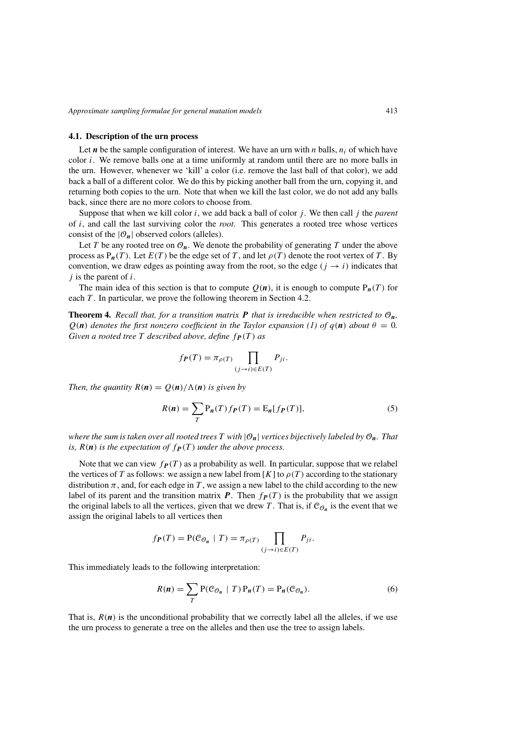### <span id="page-5-0"></span>**4.1. Description of the urn process**

Let  $n$  be the sample configuration of interest. We have an urn with  $n$  balls,  $n_i$  of which have color *i*. We remove balls one at a time uniformly at random until there are no more balls in the urn. However, whenever we 'kill' a color (i.e. remove the last ball of that color), we add back a ball of a different color. We do this by picking another ball from the urn, copying it, and returning both copies to the urn. Note that when we kill the last color, we do not add any balls back, since there are no more colors to choose from.

Suppose that when we kill color *i*, we add back a ball of color *j* . We then call *j* the *parent* of *i*, and call the last surviving color the *root*. This generates a rooted tree whose vertices consist of the  $|O_n|$  observed colors (alleles).

Let *T* be any rooted tree on  $\mathcal{O}_n$ . We denote the probability of generating *T* under the above process as  $P_n(T)$ . Let  $E(T)$  be the edge set of T, and let  $\rho(T)$  denote the root vertex of T. By convention, we draw edges as pointing away from the root, so the edge  $(j \rightarrow i)$  indicates that *j* is the parent of *i*.

The main idea of this section is that to compute  $Q(n)$ , it is enough to compute  $P_n(T)$  for each *T*. In particular, we prove the following theorem in Section [4.2.](#page-6-0)

**Theorem 4.** *Recall that, for a transition matrix*  $P$  *that is irreducible when restricted to*  $O_n$ *,*  $Q(n)$  *denotes the first nonzero coefficient in the Taylor expansion [\(1\)](#page-1-0) of*  $q(n)$  *about*  $\theta = 0$ . *Given a rooted tree*  $T$  *described above, define*  $f_{P}(T)$  *as* 

$$
f_{\boldsymbol{P}}(T) = \pi_{\rho(T)} \prod_{(j \to i) \in E(T)} P_{ji}.
$$

*Then, the quantity*  $R(n) = \frac{Q(n)}{\Lambda(n)}$  *is given by* 

$$
R(n) = \sum_{T} P_n(T) f_P(T) = \mathcal{E}_n[f_P(T)],\tag{5}
$$

*where the sum is taken over all rooted trees*  $T$  *with*  $|\mathcal{O}_n|$  *vertices bijectively labeled by*  $\mathcal{O}_n$ *. That is,*  $R(n)$  *is the expectation of*  $f_P(T)$  *under the above process.* 

Note that we can view  $f_{\textbf{P}}(T)$  as a probability as well. In particular, suppose that we relabel the vertices of *T* as follows: we assign a new label from [*K*] to  $\rho(T)$  according to the stationary distribution  $\pi$ , and, for each edge in T, we assign a new label to the child according to the new label of its parent and the transition matrix *P*. Then  $f_P(T)$  is the probability that we assign the original labels to all the vertices, given that we drew *T*. That is, if  $\mathcal{C}_{\mathcal{O}_n}$  is the event that we assign the original labels to all vertices then

$$
f_{\boldsymbol{P}}(T) = \mathbf{P}(\mathcal{C}_{\mathcal{O}_n} | T) = \pi_{\rho(T)} \prod_{(j \to i) \in E(T)} P_{ji}.
$$

This immediately leads to the following interpretation:

$$
R(n) = \sum_{T} P(C_{\mathcal{O}_n} | T) P_n(T) = P_n(C_{\mathcal{O}_n}).
$$
 (6)

That is,  $R(n)$  is the unconditional probability that we correctly label all the alleles, if we use the urn process to generate a tree on the alleles and then use the tree to assign labels.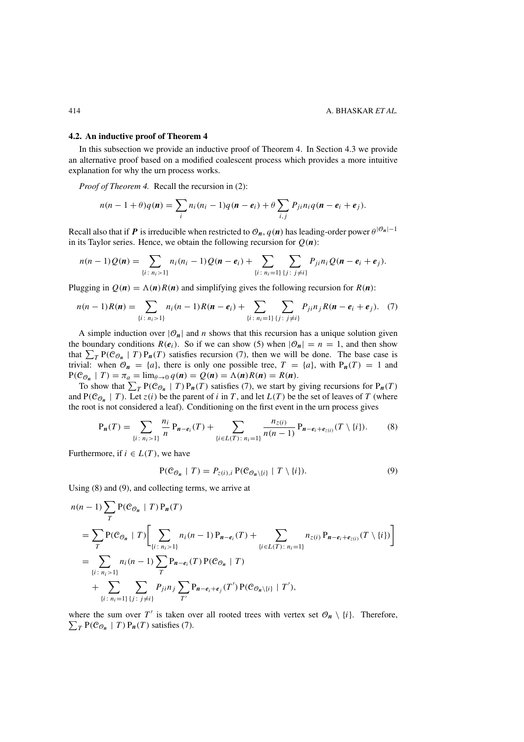#### <span id="page-6-0"></span>**4.2. An inductive proof of Theorem [4](#page-5-0)**

In this subsection we provide an inductive proof of Theorem [4.](#page-5-0) In Section [4.3](#page-7-0) we provide an alternative proof based on a modified coalescent process which provides a more intuitive explanation for why the urn process works.

*Proof of Theorem [4.](#page-5-0)* Recall the recursion in [\(2\)](#page-2-0):

$$
n(n-1+\theta)q(\mathbf{n})=\sum_i n_i(n_i-1)q(\mathbf{n}-\mathbf{e}_i)+\theta\sum_{i,j}P_{ji}n_iq(\mathbf{n}-\mathbf{e}_i+\mathbf{e}_j).
$$

Recall also that if *P* is irreducible when restricted to  $\mathcal{O}_n$ ,  $q(n)$  has leading-order power  $\theta^{|\mathcal{O}_n|-1}$ in its Taylor series. Hence, we obtain the following recursion for  $Q(n)$ :

$$
n(n-1)Q(n) = \sum_{\{i \colon n_i > 1\}} n_i(n_i-1)Q(n-e_i) + \sum_{\{i \colon n_i = 1\}} \sum_{\{j \colon j \neq i\}} P_{ji} n_i Q(n-e_i+e_j).
$$

Plugging in  $Q(n) = \Lambda(n)R(n)$  and simplifying gives the following recursion for  $R(n)$ :

$$
n(n-1)R(n) = \sum_{\{i \,:\, n_i > 1\}} n_i(n-1)R(n-e_i) + \sum_{\{i \,:\, n_i = 1\}} \sum_{\{j \,:\, j \neq i\}} P_{ji} n_j R(n-e_i+e_j). \tag{7}
$$

A simple induction over  $|\mathcal{O}_n|$  and *n* shows that this recursion has a unique solution given the boundary conditions  $R(e_i)$ . So if we can show [\(5\)](#page-5-0) when  $|\mathcal{O}_n| = n = 1$ , and then show that  $\sum_{T} P(C_{\mathcal{O}_n} | T) P_n(T)$  satisfies recursion (7), then we will be done. The base case is trivial: when  $\mathcal{O}_n = \{a\}$ , there is only one possible tree,  $T = \{a\}$ , with  $P_n(T) = 1$  and  $P(C_{\mathcal{O}_n} \mid T) = \pi_a = \lim_{\theta \to 0} q(n) = Q(n) = \Lambda(n)R(n) = R(n).$ 

To show that  $\sum_{T} P(C_{\mathcal{O}_n} | T) P_n(T)$  satisfies (7), we start by giving recursions for  $P_n(T)$ and  $P(C_{\mathcal{O}_n} \mid T)$ . Let  $z(i)$  be the parent of *i* in *T*, and let  $L(T)$  be the set of leaves of *T* (where the root is not considered a leaf). Conditioning on the first event in the urn process gives

$$
P_n(T) = \sum_{\{i \,:\, n_i > 1\}} \frac{n_i}{n} P_{n-e_i}(T) + \sum_{\{i \in L(T) \,:\, n_i = 1\}} \frac{n_{z(i)}}{n(n-1)} P_{n-e_i+e_{z(i)}}(T \setminus \{i\}).\tag{8}
$$

Furthermore, if  $i \in L(T)$ , we have

$$
P(\mathcal{C}_{\mathcal{O}_n} \mid T) = P_{z(i),i} P(\mathcal{C}_{\mathcal{O}_n \setminus \{i\}} \mid T \setminus \{i\}). \tag{9}
$$

Using (8) and (9), and collecting terms, we arrive at

$$
n(n-1)\sum_{T} P(C_{\mathcal{O}_{n}} | T) P_{n}(T)
$$
  
= 
$$
\sum_{T} P(C_{\mathcal{O}_{n}} | T) \Bigg[ \sum_{\{i : n_{i} > 1\}} n_{i}(n-1) P_{n-e_{i}}(T) + \sum_{\{i \in L(T) : n_{i} = 1\}} n_{z(i)} P_{n-e_{i}+e_{z(i)}}(T \setminus \{i\}) \Bigg]
$$
  
= 
$$
\sum_{\{i : n_{i} > 1\}} n_{i}(n-1) \sum_{T} P_{n-e_{i}}(T) P(C_{\mathcal{O}_{n}} | T)
$$
  
+ 
$$
\sum_{\{i : n_{i} = 1\}} \sum_{\{j : j \neq i\}} P_{j} n_{j} \sum_{T'} P_{n-e_{i}+e_{j}}(T') P(C_{\mathcal{O}_{n}\setminus \{i\}} | T'),
$$

where the sum over T' is taken over all rooted trees with vertex set  $\mathcal{O}_n \setminus \{i\}$ . Therefore,  $\sum_{T}$  P( $\mathcal{C}_{\mathcal{O}_n}$  | *T*) P<sub>n</sub>(*T*) satisfies (7).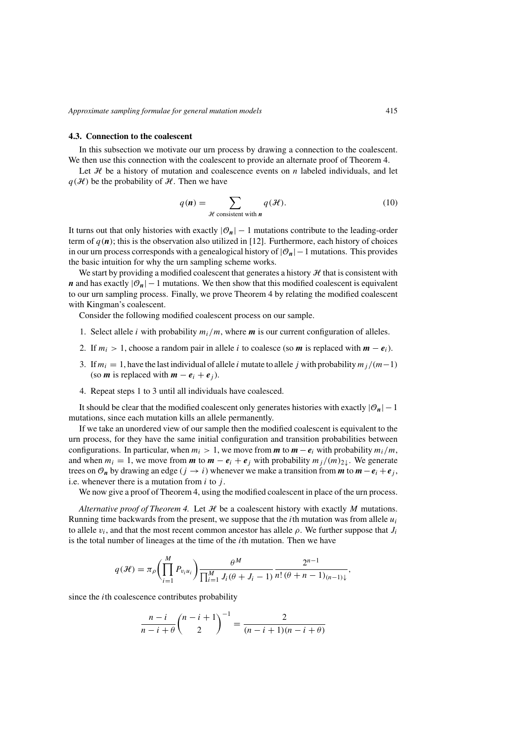### <span id="page-7-0"></span>**4.3. Connection to the coalescent**

In this subsection we motivate our urn process by drawing a connection to the coalescent. We then use this connection with the coalescent to provide an alternate proof of Theorem [4.](#page-5-0)

Let  $H$  be a history of mutation and coalescence events on  $n$  labeled individuals, and let  $q(\mathcal{H})$  be the probability of  $\mathcal{H}$ . Then we have

$$
q(\mathbf{n}) = \sum_{\mathcal{H} \text{ consistent with } \mathbf{n}} q(\mathcal{H}).
$$
 (10)

It turns out that only histories with exactly  $|\mathcal{O}_n| - 1$  mutations contribute to the leading-order term of  $q(n)$ ; this is the observation also utilized in [\[12\]](#page-19-0). Furthermore, each history of choices in our urn process corresponds with a genealogical history of |O*n*|−1 mutations. This provides the basic intuition for why the urn sampling scheme works.

We start by providing a modified coalescent that generates a history  $H$  that is consistent with *n* and has exactly  $|O_n| - 1$  mutations. We then show that this modified coalescent is equivalent to our urn sampling process. Finally, we prove Theorem [4](#page-5-0) by relating the modified coalescent with Kingman's coalescent.

Consider the following modified coalescent process on our sample.

- 1. Select allele *i* with probability  $m_i/m$ , where **m** is our current configuration of alleles.
- 2. If  $m_i > 1$ , choose a random pair in allele *i* to coalesce (so *m* is replaced with  $m e_i$ ).
- 3. If  $m_i = 1$ , have the last individual of allele *i* mutate to allele *j* with probability  $m_i/(m-1)$ (so *m* is replaced with  $m - e_i + e_j$ ).
- 4. Repeat steps 1 to 3 until all individuals have coalesced.

It should be clear that the modified coalescent only generates histories with exactly  $|\mathcal{O}_n| - 1$ mutations, since each mutation kills an allele permanently.

If we take an unordered view of our sample then the modified coalescent is equivalent to the urn process, for they have the same initial configuration and transition probabilities between configurations. In particular, when  $m_i > 1$ , we move from  $m$  to  $m - e_i$  with probability  $m_i/m$ , and when  $m_i = 1$ , we move from *m* to  $m - e_i + e_j$  with probability  $m_j/(m)_{2\downarrow}$ . We generate trees on  $\mathcal{O}_n$  by drawing an edge  $(j \rightarrow i)$  whenever we make a transition from *m* to  $m - e_i + e_j$ , i.e. whenever there is a mutation from *i* to *j* .

We now give a proof of Theorem [4,](#page-5-0) using the modified coalescent in place of the urn process.

*Alternative proof of Theorem [4.](#page-5-0)* Let  $H$  be a coalescent history with exactly *M* mutations. Running time backwards from the present, we suppose that the *i*th mutation was from allele  $u_i$ to allele  $v_i$ , and that the most recent common ancestor has allele  $\rho$ . We further suppose that  $J_i$ is the total number of lineages at the time of the *i*th mutation. Then we have

$$
q(\mathcal{H}) = \pi_{\rho} \left( \prod_{i=1}^{M} P_{v_i u_i} \right) \frac{\theta^M}{\prod_{i=1}^{M} J_i(\theta + J_i - 1)} \frac{2^{n-1}}{n! (\theta + n - 1)_{(n-1)\downarrow}}
$$

*,*

since the *i*th coalescence contributes probability

$$
\frac{n-i}{n-i+\theta} \binom{n-i+1}{2}^{-1} = \frac{2}{(n-i+1)(n-i+\theta)}
$$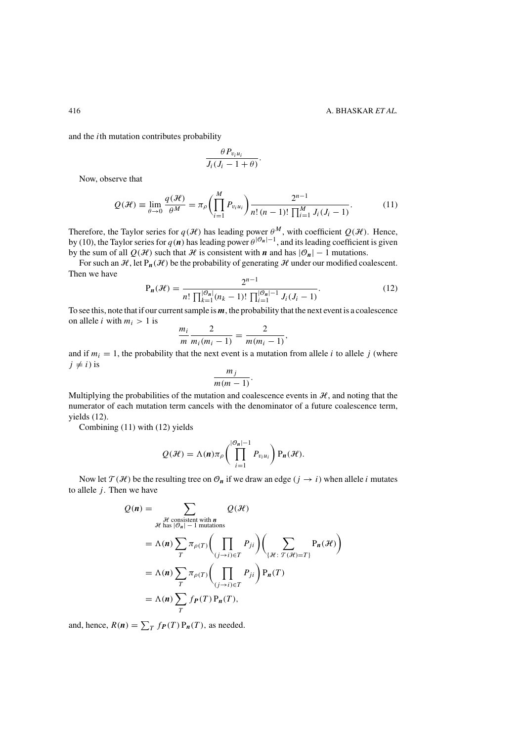and the *i*th mutation contributes probability

$$
\frac{\theta P_{v_i u_i}}{J_i(J_i-1+\theta)}.
$$

*M*

Now, observe that

$$
Q(\mathcal{H}) \equiv \lim_{\theta \to 0} \frac{q(\mathcal{H})}{\theta^M} = \pi_\rho \left( \prod_{i=1}^M P_{v_i u_i} \right) \frac{2^{n-1}}{n! (n-1)! \prod_{i=1}^M J_i(J_i - 1)}.
$$
 (11)

Therefore, the Taylor series for  $q(\mathcal{H})$  has leading power  $\theta^M$ , with coefficient  $Q(\mathcal{H})$ . Hence, by [\(10\)](#page-7-0), the Taylor series for  $q(n)$  has leading power  $\theta^{|\mathcal{O}_n|-1}$ , and its leading coefficient is given by the sum of all  $Q(H)$  such that H is consistent with *n* and has  $|\mathcal{O}_n| - 1$  mutations.

For such an  $\mathcal{H}$ , let  $P_n(\mathcal{H})$  be the probability of generating  $\mathcal{H}$  under our modified coalescent. Then we have

$$
P_n(\mathcal{H}) = \frac{2^{n-1}}{n! \prod_{k=1}^{|\mathcal{O}_n|} (n_k - 1)! \prod_{i=1}^{|\mathcal{O}_n| - 1} J_i(J_i - 1)}.
$$
(12)

To see this, note that if our current sample is *m*, the probability that the next event is a coalescence on allele *i* with  $m_i > 1$  is

$$
\frac{m_i}{m} \frac{2}{m_i(m_i-1)} = \frac{2}{m(m_i-1)},
$$

and if  $m_i = 1$ , the probability that the next event is a mutation from allele *i* to allele *j* (where  $j \neq i$ ) is  $\neq i$ ) is *m<sub>j</sub>* 

$$
\frac{m_j}{m(m-1)}.
$$

Multiplying the probabilities of the mutation and coalescence events in  $H$ , and noting that the numerator of each mutation term cancels with the denominator of a future coalescence term, yields (12).

Combining (11) with (12) yields

$$
Q(\mathcal{H}) = \Lambda(n)\pi_{\rho}\left(\prod_{i=1}^{|\mathcal{O}_n|-1} P_{v_iu_i}\right) P_n(\mathcal{H}).
$$

Now let  $\mathcal{T}(\mathcal{H})$  be the resulting tree on  $\mathcal{O}_n$  if we draw an edge  $(j \to i)$  when allele *i* mutates to allele  $j$ . Then we have

$$
Q(n) = \sum_{\substack{\mathcal{H} \text{ consistent with } n \\ \mathcal{H} \text{ has } |\mathcal{O}_n| - 1 \text{ mutations}}} Q(\mathcal{H})
$$
  
=  $\Lambda(n) \sum_{T} \pi_{\rho(T)} \Biggl( \prod_{(j \to i) \in T} P_{ji} \Biggr) \Biggl( \sum_{\{\mathcal{H}: \ \mathcal{T}(\mathcal{H}) = T\}} P_n(\mathcal{H}) \Biggr)$   
=  $\Lambda(n) \sum_{T} \pi_{\rho(T)} \Biggl( \prod_{(j \to i) \in T} P_{ji} \Biggr) P_n(T)$   
=  $\Lambda(n) \sum_{T} f_P(T) P_n(T),$ 

and, hence,  $R(n) = \sum_{T} f_{\textbf{P}}(T) P_{\textbf{n}}(T)$ , as needed.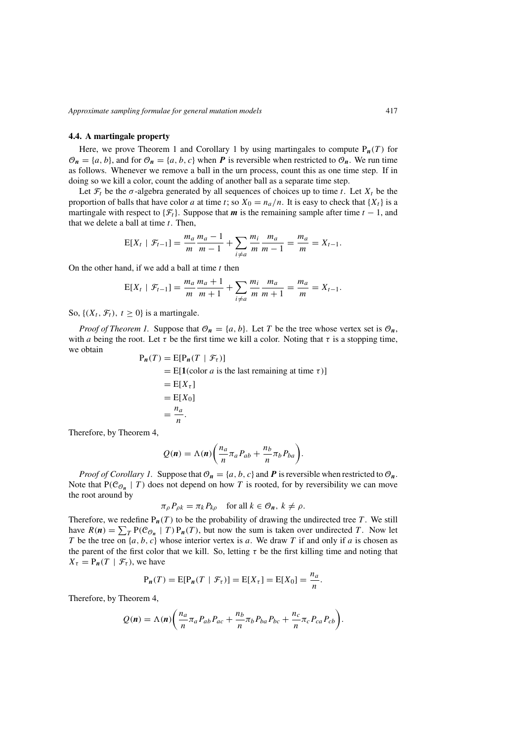## **4.4. A martingale property**

Here, we prove Theorem [1](#page-3-0) and Corollary 1 by using martingales to compute  $P_n(T)$  for  $\mathcal{O}_n = \{a, b\}$ , and for  $\mathcal{O}_n = \{a, b, c\}$  when *P* is reversible when restricted to  $\mathcal{O}_n$ . We run time as follows. Whenever we remove a ball in the urn process, count this as one time step. If in doing so we kill a color, count the adding of another ball as a separate time step.

Let  $\mathcal{F}_t$  be the  $\sigma$ -algebra generated by all sequences of choices up to time *t*. Let  $X_t$  be the proportion of balls that have color *a* at time *t*; so  $X_0 = n_a/n$ . It is easy to check that  $\{X_t\}$  is a martingale with respect to  ${F_t}$ . Suppose that *m* is the remaining sample after time  $t - 1$ , and that we delete a ball at time *t*. Then,

$$
E[X_t | \mathcal{F}_{t-1}] = \frac{m_a}{m} \frac{m_a - 1}{m - 1} + \sum_{i \neq a} \frac{m_i}{m} \frac{m_a}{m - 1} = \frac{m_a}{m} = X_{t-1}.
$$

On the other hand, if we add a ball at time *t* then

$$
E[X_t | \mathcal{F}_{t-1}] = \frac{m_a}{m} \frac{m_a + 1}{m + 1} + \sum_{i \neq a} \frac{m_i}{m} \frac{m_a}{m + 1} = \frac{m_a}{m} = X_{t-1}.
$$

So,  $\{(X_t, \mathcal{F}_t), t \geq 0\}$  is a martingale.

*Proof of Theorem [1.](#page-3-0)* Suppose that  $\mathcal{O}_n = \{a, b\}$ . Let *T* be the tree whose vertex set is  $\mathcal{O}_n$ , with *a* being the root. Let  $\tau$  be the first time we kill a color. Noting that  $\tau$  is a stopping time, we obtain P*n(T )* = E[P*n(T* | F*<sup>τ</sup> )*]

$$
P_n(T) = E[P_n(T | \mathcal{F}_\tau)]
$$
  
= E[1(color *a* is the last remaining at time  $\tau$ )]  
= E[X\_\tau]  
= E[X\_0]  
=  $\frac{n_a}{n}$ .

Therefore, by Theorem [4,](#page-5-0)

$$
Q(\boldsymbol{n}) = \Lambda(\boldsymbol{n}) \bigg( \frac{n_a}{n} \pi_a P_{ab} + \frac{n_b}{n} \pi_b P_{ba} \bigg).
$$

*Proof of Corollary [1.](#page-3-0)* Suppose that  $\mathcal{O}_n = \{a, b, c\}$  and *P* is reversible when restricted to  $\mathcal{O}_n$ . Note that  $P(\mathcal{C}_{\mathcal{O}_n} | T)$  does not depend on how T is rooted, for by reversibility we can move the root around by

$$
\pi_{\rho} P_{\rho k} = \pi_k P_{k\rho} \quad \text{for all } k \in \mathcal{O}_n, k \neq \rho.
$$

Therefore, we redefine  $P_n(T)$  to be the probability of drawing the undirected tree T. We still have  $R(n) = \sum_{T} P(C_{\mathcal{O}_n} | T) P_n(T)$ , but now the sum is taken over undirected *T*. Now let *T* be the tree on {*a, b, c*} whose interior vertex is *a*. We draw *T* if and only if *a* is chosen as the parent of the first color that we kill. So, letting  $\tau$  be the first killing time and noting that  $X_{\tau} = P_{n}(T | \mathcal{F}_{\tau})$ , we have

$$
P_n(T) = E[P_n(T | \mathcal{F}_\tau)] = E[X_\tau] = E[X_0] = \frac{n_a}{n}.
$$

Therefore, by Theorem [4,](#page-5-0)

$$
Q(n) = \Lambda(n) \bigg( \frac{n_a}{n} \pi_a P_{ab} P_{ac} + \frac{n_b}{n} \pi_b P_{ba} P_{bc} + \frac{n_c}{n} \pi_c P_{ca} P_{cb} \bigg).
$$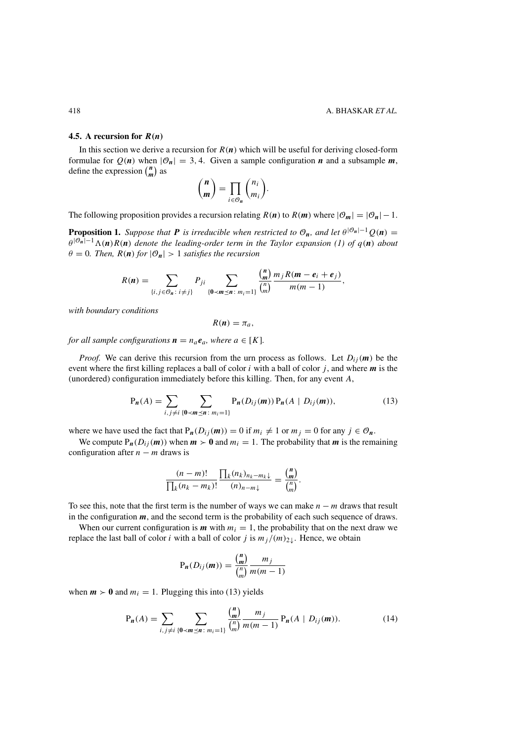### <span id="page-10-0"></span>**4.5.** A recursion for  $R(n)$

In this section we derive a recursion for  $R(n)$  which will be useful for deriving closed-form formulae for  $Q(n)$  when  $|\mathcal{O}_n| = 3, 4$ . Given a sample configuration *n* and a subsample *m*, define the expression  $\binom{n}{m}$  as

$$
\binom{n}{m} = \prod_{i \in \mathcal{O}_n} \binom{n_i}{m_i}.
$$

The following proposition provides a recursion relating  $R(n)$  to  $R(m)$  where  $|\mathcal{O}_m| = |\mathcal{O}_n| - 1$ .

**Proposition 1.** *Suppose that P is irreducible when restricted to*  $\mathcal{O}_n$ *, and let*  $\theta^{|\mathcal{O}_n|-1}Q(n)$  =  $\theta^{|\mathcal{O}_n|-1}\Lambda(n)R(n)$  *denote the leading-order term in the Taylor expansion* [\(1\)](#page-1-0) *of*  $q(n)$  *about*  $\theta = 0$ *. Then,*  $R(n)$  *for*  $|\mathcal{O}_n| > 1$  *satisfies the recursion* 

$$
R(n) = \sum_{\{i, j \in \mathcal{O}_n : i \neq j\}} P_{ji} \sum_{\{0 < m \leq n : m_i = 1\}} \frac{\binom{n}{m}}{\binom{n}{m}} \frac{m_j R(m - e_i + e_j)}{m(m - 1)},
$$

*with boundary conditions*

$$
R(n)=\pi_a,
$$

*for all sample configurations*  $\mathbf{n} = n_a \mathbf{e}_a$ *, where*  $a \in [K]$ *.* 

*Proof.* We can derive this recursion from the urn process as follows. Let  $D_{ij}(m)$  be the event where the first killing replaces a ball of color *i* with a ball of color *j* , and where *m* is the (unordered) configuration immediately before this killing. Then, for any event *A*,

$$
P_n(A) = \sum_{i,j \neq i} \sum_{\{0 < m \leq n \colon m_i = 1\}} P_n(D_{ij}(m)) P_n(A \mid D_{ij}(m)), \tag{13}
$$

where we have used the fact that  $P_n(D_{ij}(m)) = 0$  if  $m_i \neq 1$  or  $m_j = 0$  for any  $j \in \mathcal{O}_n$ .

We compute  $P_n(D_{ij}(m))$  when  $m > 0$  and  $m_i = 1$ . The probability that *m* is the remaining configuration after  $n - m$  draws is

$$
\frac{(n-m)!}{\prod_k (n_k - m_k)!} \frac{\prod_k (n_k)_{n_k - m_k \downarrow}}{(n)_{n-m \downarrow}} = \frac{{n \choose m}}{{n \choose m}}.
$$

To see this, note that the first term is the number of ways we can make *n* − *m* draws that result in the configuration  $m$ , and the second term is the probability of each such sequence of draws.

When our current configuration is  $m$  with  $m_i = 1$ , the probability that on the next draw we replace the last ball of color *i* with a ball of color *j* is  $m_j/(m)_{2\downarrow}$ . Hence, we obtain

$$
P_n(D_{ij}(m)) = \frac{\binom{n}{m}}{\binom{n}{m}} \frac{m_j}{m(m-1)}
$$

when  $m > 0$  and  $m_i = 1$ . Plugging this into (13) yields

$$
P_n(A) = \sum_{i,j \neq i} \sum_{\{0 < m \leq n \colon m_i = 1\}} \frac{\binom{n}{m}}{\binom{n}{m}} \frac{m_j}{m(m-1)} P_n(A \mid D_{ij}(m)). \tag{14}
$$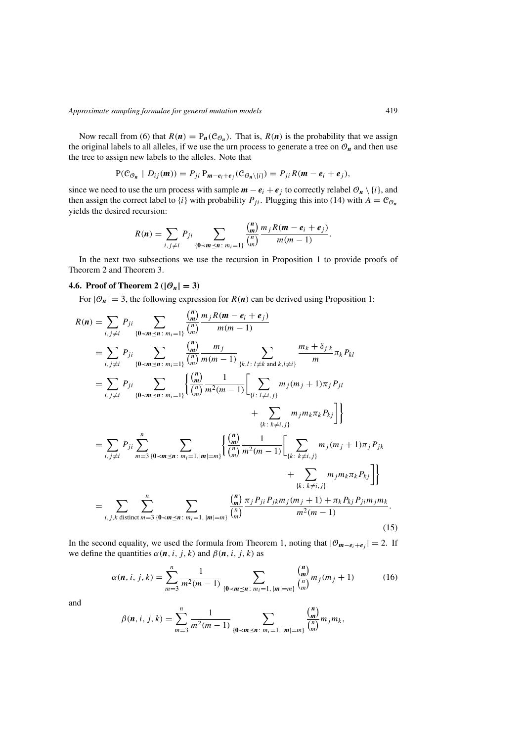<span id="page-11-0"></span>Now recall from [\(6\)](#page-5-0) that  $R(n) = P_n(C_{\mathcal{O}_n})$ . That is,  $R(n)$  is the probability that we assign the original labels to all alleles, if we use the urn process to generate a tree on  $\mathcal{O}_n$  and then use the tree to assign new labels to the alleles. Note that

$$
P(\mathcal{C}_{\mathcal{O}_n} | D_{ij}(m)) = P_{ji} P_{m-e_i+e_j}(\mathcal{C}_{\mathcal{O}_n\setminus\{i\}}) = P_{ji} R(m-e_i+e_j),
$$

since we need to use the urn process with sample  $m - e_i + e_j$  to correctly relabel  $\mathcal{O}_n \setminus \{i\}$ , and then assign the correct label to  $\{i\}$  with probability  $P_{ji}$ . Plugging this into [\(14\)](#page-10-0) with  $A = C_{\mathcal{O}_n}$ yields the desired recursion:

$$
R(n) = \sum_{i, j \neq i} P_{ji} \sum_{\{0 < m \leq n \colon m_i = 1\}} \frac{\binom{n}{m}}{\binom{n}{m}} \frac{m_j R(m - e_i + e_j)}{m(m - 1)}.
$$

In the next two subsections we use the recursion in Proposition [1](#page-10-0) to provide proofs of Theorem [2](#page-3-0) and Theorem [3.](#page-4-0)

### **4.6. Proof of Theorem [2](#page-3-0)** ( $|\mathcal{O}_n| = 3$ )

For  $|\mathcal{O}_n| = 3$ , the following expression for  $R(n)$  can be derived using Proposition [1:](#page-10-0)

*n*

$$
R(n) = \sum_{i,j\neq i} P_{ji} \sum_{\{0 < m \leq n : m_i = 1\}} \frac{\binom{n}{m}}{\binom{n}{m}} \frac{m_j R(m - e_i + e_j)}{m(m - 1)}
$$
\n
$$
= \sum_{i,j\neq i} P_{ji} \sum_{\{0 < m \leq n : m_i = 1\}} \frac{\binom{n}{m}}{\binom{n}{m}} \frac{m_j}{m(m - 1)} \sum_{\{k,l : l \neq k \text{ and } k,l \neq i\}} \frac{m_k + \delta_{j,k}}{m} \pi_k P_{kl}
$$
\n
$$
= \sum_{i,j\neq i} P_{ji} \sum_{\{0 < m \leq n : m_i = 1\}} \left\{ \frac{\binom{n}{m}}{\binom{n}{m}} \frac{1}{m^2 (m - 1)} \left[ \sum_{\{l : l \neq i,j\}} m_j (m_j + 1) \pi_j P_{jl} + \sum_{\{k : k \neq i,j\}} m_j m_k \pi_k P_{kj} \right] \right\}
$$
\n
$$
= \sum_{i,j\neq i} P_{ji} \sum_{m=3}^n \sum_{\{0 < m \leq n : m_i = 1, |m| = m\}} \left\{ \frac{\binom{n}{m}}{\binom{n}{m}} \frac{1}{m^2 (m - 1)} \left[ \sum_{\{k : k \neq i,j\}} m_j (m_j + 1) \pi_j P_{jk} + \sum_{\{k : k \neq i,j\}} m_j m_k \pi_k P_{kj} \right] \right\}
$$
\n
$$
= \sum_{i,j,k \text{ distinct } m=3} \sum_{\{0 < m \leq n : m_i = 1, |m| = m\}} \frac{\binom{n}{m}}{\binom{n}{m}} \frac{\pi_j P_{ji} P_{jk} m_j (m_j + 1) + \pi_k P_{kj} P_{ji} m_j m_k}{m^2 (m - 1)}.
$$
\n(15)

In the second equality, we used the formula from Theorem [1,](#page-3-0) noting that  $|O_{m-e_i+e_j}| = 2$ . If we define the quantities  $\alpha(n, i, j, k)$  and  $\beta(n, i, j, k)$  as

$$
\alpha(n, i, j, k) = \sum_{m=3}^{n} \frac{1}{m^2(m-1)} \sum_{\{\mathbf{0} < \mathbf{m} \leq \mathbf{n} \colon m_i = 1, \, |\mathbf{m}| = m\}} \frac{\binom{\mathbf{n}}{m}}{\binom{n}{m}} m_j(m_j + 1) \tag{16}
$$

and

$$
\beta(n, i, j, k) = \sum_{m=3}^{n} \frac{1}{m^2(m-1)} \sum_{\{\mathbf{0} < m \leq n \colon m_i = 1, \, |\mathbf{m}| = m\}} \frac{\binom{n}{m}}{\binom{n}{m}} m_j m_k,
$$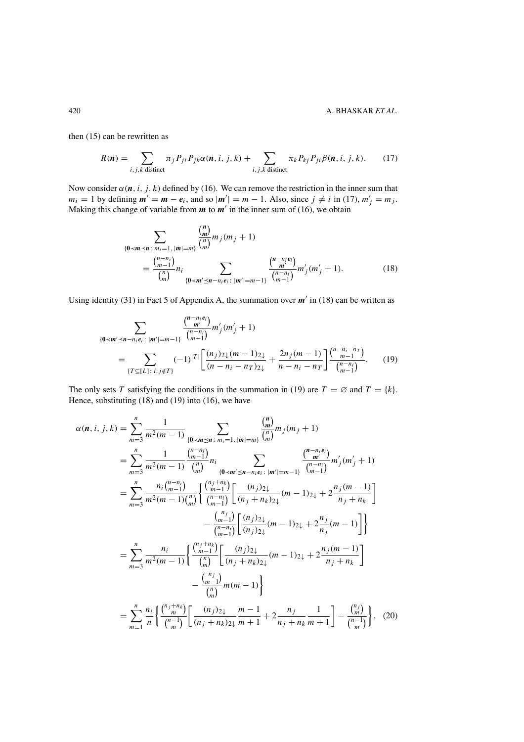<span id="page-12-0"></span>then [\(15\)](#page-11-0) can be rewritten as

$$
R(\boldsymbol{n}) = \sum_{i,j,k \text{ distinct}} \pi_j P_{ji} P_{jk} \alpha(\boldsymbol{n}, i, j, k) + \sum_{i,j,k \text{ distinct}} \pi_k P_{kj} P_{ji} \beta(\boldsymbol{n}, i, j, k). \tag{17}
$$

Now consider  $\alpha$ (*n*, *i*, *j*, *k*) defined by [\(16\)](#page-11-0). We can remove the restriction in the inner sum that  $m_i = 1$  by defining  $m' = m - e_i$ , and so  $|m'| = m - 1$ . Also, since  $j \neq i$  in (17),  $m'_j = m_j$ . Making this change of variable from  $m$  to  $m'$  in the inner sum of [\(16\)](#page-11-0), we obtain

$$
\sum_{\{\mathbf{0} < \mathbf{m} \leq \mathbf{n} \colon m_i = 1, \ |\mathbf{m}| = m\}} \frac{\binom{\mathbf{n}}{\mathbf{m}}}{\binom{n}{m}} m_j(m_j + 1)
$$
\n
$$
= \frac{\binom{n - n_i}{m - 1}}{\binom{n}{m}} n_i \sum_{\{\mathbf{0} < \mathbf{m}' \leq \mathbf{n} - n_i e_i \colon |\mathbf{m}'| = m - 1\}} \frac{\binom{\mathbf{n} - n_i e_i}{\mathbf{m}'}}{\binom{n - n_i}{m - 1}} m'_j(m'_j + 1). \tag{18}
$$

Using identity [\(31\)](#page-18-0) in Fact [5](#page-18-0) of Appendix [A,](#page-17-0) the summation over  $m'$  in (18) can be written as

$$
\sum_{\{\mathbf{0} < \mathbf{m}' \le \mathbf{n} - n_i e_i : \ |\mathbf{m}'| = m - 1\}} \frac{\binom{\mathbf{n} - n_i e_i}{\mathbf{m}'}}{\binom{n - n_i}{n - 1}} m'_j(m'_j + 1)
$$
\n
$$
= \sum_{\{T \subseteq [L]: \ i, j \notin T\}} (-1)^{|T|} \left[ \frac{(n_j)_{2\downarrow} (m - 1)_{2\downarrow}}{(n - n_i - n_T)_{2\downarrow}} + \frac{2n_j (m - 1)}{n - n_i - n_T} \right] \frac{\binom{n - n_i - n_T}{m - 1}}{\binom{n - n_i}{m - 1}}. \tag{19}
$$

The only sets *T* satisfying the conditions in the summation in (19) are  $T = \emptyset$  and  $T = \{k\}$ . Hence, substituting (18) and (19) into [\(16\)](#page-11-0), we have

$$
\alpha(n, i, j, k) = \sum_{m=3}^{n} \frac{1}{m^2(m-1)} \sum_{\{0 < m \le n : m_i = 1, |m| = m\}} \frac{\binom{n}{m}}{\binom{n}{m}} m_j(m_j + 1)
$$
\n
$$
= \sum_{m=3}^{n} \frac{1}{m^2(m-1)} \frac{\binom{n-n_i}{m-1}}{\binom{n}{m}} n_i \sum_{\{0 < m' \le n - n_i e_i : |m'| = m-1\}} \frac{\binom{n-n_i}{m-i}}{\binom{n-n_i}{m-1}} m'_j(m'_j + 1)
$$
\n
$$
= \sum_{m=3}^{n} \frac{n_i \binom{n-n_i}{m-1}}{m^2(m-1) \binom{n}{m}} \left\{ \frac{\binom{n_j+n_k}{m-1}}{\binom{n-n_i}{m-1}} \left[ \frac{(n_j)_{2\downarrow}}{(n_j + n_k)_{2\downarrow}} (m-1)_{2\downarrow} + 2 \frac{n_j(m-1)}{n_j + n_k} \right] - \frac{\binom{n}{m-1}}{\binom{n-1}{m-1}} \left[ \frac{(n_j)_{2\downarrow}}{(n_j)_{2\downarrow}} (m-1)_{2\downarrow} + 2 \frac{n_j(m-1)}{n_j + n_k} \right]
$$
\n
$$
= \sum_{m=3}^{n} \frac{n_i}{m^2(m-1)} \left\{ \frac{\binom{n_j+n_k}{m-1}}{\binom{n}{m}} \left[ \frac{(n_j)_{2\downarrow}}{(n_j + n_k)_{2\downarrow}} (m-1)_{2\downarrow} + 2 \frac{n_j(m-1)}{n_j + n_k} \right] - \frac{\binom{n_j}{m}}{\binom{n}{m}} m(m-1) \right\}
$$
\n
$$
= \sum_{m=1}^{n} \frac{n_i}{n} \left\{ \frac{\binom{n_j+n_k}{m}}{\binom{n-1}{m}} \left[ \frac{(n_j)_{2\downarrow}}{(n_j + n_k)_{2\downarrow}} \frac{m-1}{m+1} + 2 \frac{n_j}{n_j + n_k} \frac{1}{m+1} \right] - \frac{\binom{n_j}{m}}{\binom{n-1}{m}} \right\}.
$$
\n(20)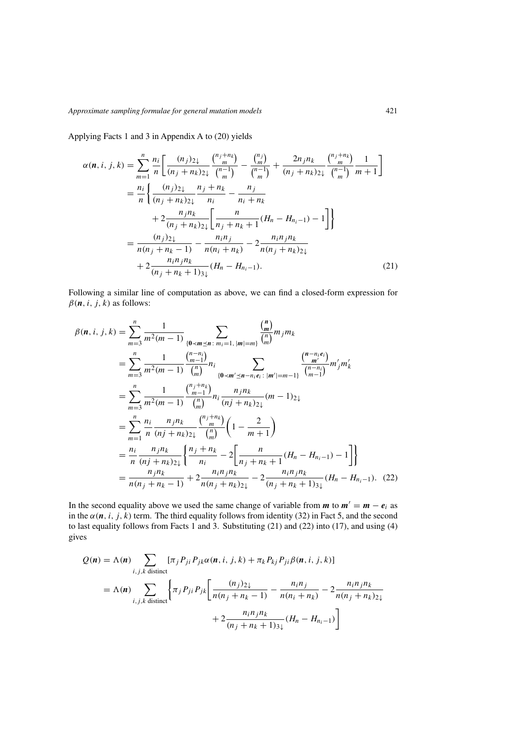Applying Facts [1](#page-17-0) and [3](#page-17-0) in Appendix [A](#page-17-0) to [\(20\)](#page-12-0) yields

$$
\alpha(n, i, j, k) = \sum_{m=1}^{n} \frac{n_i}{n} \left[ \frac{(n_j)_{2\downarrow}}{(n_j + n_k)_{2\downarrow}} \frac{\binom{n_j + n_k}{m}}{\binom{n-1}{m}} - \frac{\binom{n_j}{m}}{\binom{n-1}{m}} + \frac{2n_j n_k}{(n_j + n_k)_{2\downarrow}} \frac{\binom{n_j + n_k}{m}}{\binom{n-1}{m}} \frac{1}{m+1} \right]
$$
  
\n
$$
= \frac{n_i}{n} \left\{ \frac{(n_j)_{2\downarrow}}{(n_j + n_k)_{2\downarrow}} \frac{n_j + n_k}{n_i} - \frac{n_j}{n_i + n_k} + \frac{2}{n_i + n_k} + \frac{2}{n_i + n_k} \right\}
$$
  
\n
$$
+ 2 \frac{n_j n_k}{(n_j + n_k)_{2\downarrow}} \left[ \frac{n}{n_j + n_k + 1} (H_n - H_{n_i - 1}) - 1 \right] \right\}
$$
  
\n
$$
= \frac{(n_j)_{2\downarrow}}{n(n_j + n_k - 1)} - \frac{n_i n_j}{n(n_i + n_k)} - 2 \frac{n_i n_j n_k}{n(n_j + n_k)_{2\downarrow}}
$$
  
\n
$$
+ 2 \frac{n_i n_j n_k}{(n_j + n_k + 1)_{3\downarrow}} (H_n - H_{n_i - 1}). \tag{21}
$$

Following a similar line of computation as above, we can find a closed-form expression for  $\beta(\mathbf{n}, i, j, k)$  as follows:

$$
\beta(n, i, j, k) = \sum_{m=3}^{n} \frac{1}{m^2(m-1)} \sum_{\substack{(0 \prec m \preceq n \colon m_i = 1, |m| = m)}} \frac{\binom{n}{m}}{\binom{n}{m}} m_j m_k
$$
  
\n
$$
= \sum_{m=3}^{n} \frac{1}{m^2(m-1)} \frac{\binom{n-n_i}{m-1}}{\binom{n}{m}} n_i \sum_{\substack{(0 \prec m' \preceq n - n_i e_i \colon |m'| = m-1}} \frac{\binom{n-n_i e_i}{m'}}{\binom{n-n_i}{m-1}} m'_j m'_k
$$
  
\n
$$
= \sum_{m=3}^{n} \frac{1}{m^2(m-1)} \frac{\binom{n_j + n_k}{m}}{\binom{n}{m}} n_i \frac{n_j n_k}{(n_j + n_k)_{2\downarrow}} (m-1)_{2\downarrow}
$$
  
\n
$$
= \sum_{m=1}^{n} \frac{n_i}{n} \frac{n_j n_k}{(n_j + n_k)_{2\downarrow}} \frac{\binom{n_j + n_k}{m}}{\binom{n}{m}} \left(1 - \frac{2}{m+1}\right)
$$
  
\n
$$
= \frac{n_i}{n} \frac{n_j n_k}{(n_j + n_k)_{2\downarrow}} \left\{ \frac{n_j + n_k}{n_i} - 2 \left[ \frac{n}{n_j + n_k + 1} (H_n - H_{n_i - 1}) - 1 \right] \right\}
$$
  
\n
$$
= \frac{n_j n_k}{n(n_j + n_k - 1)} + 2 \frac{n_i n_j n_k}{n(n_j + n_k)_{2\downarrow}} - 2 \frac{n_i n_j n_k}{(n_j + n_k + 1)_{3\downarrow}} (H_n - H_{n_i - 1}). \quad (22)
$$

In the second equality above we used the same change of variable from  $m$  to  $m' = m - e_i$  as in the  $\alpha$ ( $\boldsymbol{n}$ *, i, j, k*) term. The third equality follows from identity [\(32\)](#page-18-0) in Fact [5,](#page-18-0) and the second to last equality follows from Facts [1](#page-17-0) and [3.](#page-17-0) Substituting (21) and (22) into [\(17\)](#page-12-0), and using [\(4\)](#page-4-0) gives

$$
Q(n) = \Lambda(n) \sum_{i,j,k \text{ distinct}} [\pi_j P_{ji} P_{jk} \alpha(n, i, j, k) + \pi_k P_{kj} P_{ji} \beta(n, i, j, k)]
$$
  
=  $\Lambda(n) \sum_{i,j,k \text{ distinct}} \left\{ \pi_j P_{ji} P_{jk} \left[ \frac{(n_j)_{2\downarrow}}{n(n_j + n_k - 1)} - \frac{n_i n_j}{n(n_i + n_k)} - 2 \frac{n_i n_j n_k}{n(n_j + n_k)_{2\downarrow}} + 2 \frac{n_i n_j n_k}{(n_j + n_k + 1)_{3\downarrow}} (H_n - H_{n_i - 1}) \right] \right\}$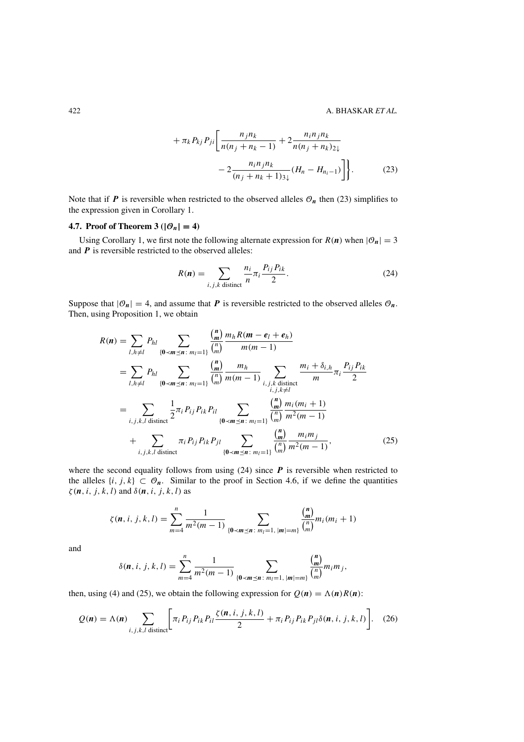$$
+ \pi_{k} P_{kj} P_{ji} \left[ \frac{n_{j} n_{k}}{n(n_{j} + n_{k} - 1)} + 2 \frac{n_{i} n_{j} n_{k}}{n(n_{j} + n_{k})_{2} \sqrt{n(n_{j} + n_{k})_{2} \sqrt{n(n_{j} + n_{k} + 1)_{3} \sqrt{n(n_{j} + n_{k} + 1)_{3} \sqrt{n(n_{j} + n_{k} + 1)_{3} \sqrt{n}}}} \right].
$$
 (23)

<span id="page-14-0"></span>Note that if  $P$  is reversible when restricted to the observed alleles  $\mathcal{O}_n$  then (23) simplifies to the expression given in Corollary [1.](#page-3-0)

### **4.7. Proof of Theorem [3](#page-4-0)** ( $|\mathcal{O}_n| = 4$ )

Using Corollary [1,](#page-3-0) we first note the following alternate expression for  $R(n)$  when  $|\mathcal{O}_n| = 3$ and *P* is reversible restricted to the observed alleles:

$$
R(n) = \sum_{i,j,k \text{ distinct}} \frac{n_i}{n} \pi_i \frac{P_{ij} P_{ik}}{2}.
$$
 (24)

Suppose that  $|\mathcal{O}_n| = 4$ , and assume that *P* is reversible restricted to the observed alleles  $\mathcal{O}_n$ . Then, using Proposition [1,](#page-10-0) we obtain

$$
R(n) = \sum_{l,h \neq l} P_{hl} \sum_{\{0 \prec m \leq n : m_l = 1\}} \frac{\binom{n}{m}}{\binom{n}{m}} \frac{m_h R(m - e_l + e_h)}{m(m - 1)}
$$
  
\n
$$
= \sum_{l,h \neq l} P_{hl} \sum_{\{0 \prec m \leq n : m_l = 1\}} \frac{\binom{n}{m}}{\binom{n}{m}} \frac{m_h}{m(m - 1)} \sum_{\substack{i,j,k \text{ distinct} \\ i,j,k \neq l}} \frac{m_i + \delta_{i,h}}{m} \pi_i \frac{P_{ij} P_{ik}}{2}
$$
  
\n
$$
= \sum_{i,j,k,l \text{ distinct}} \frac{1}{2} \pi_i P_{ij} P_{ik} P_{il} \sum_{\{0 \prec m \leq n : m_l = 1\}} \frac{\binom{n}{m}}{\binom{n}{m}} \frac{m_i(m_i + 1)}{m^2(m - 1)}
$$
  
\n
$$
+ \sum_{i,j,k,l \text{ distinct}} \pi_i P_{ij} P_{ik} P_{jl} \sum_{\{0 \prec m \leq n : m_l = 1\}} \frac{\binom{n}{m}}{\binom{n}{m}} \frac{m_i m_j}{m^2(m - 1)}, \qquad (25)
$$

where the second equality follows from using  $(24)$  since  $P$  is reversible when restricted to the alleles  $\{i, j, k\} \subset \mathcal{O}_n$ . Similar to the proof in Section [4.6,](#page-11-0) if we define the quantities *ζ (n, i, j, k, l)* and *δ(n, i, j, k, l)* as

$$
\zeta(n, i, j, k, l) = \sum_{m=4}^{n} \frac{1}{m^2(m-1)} \sum_{\{\mathbf{0} < m \le n \colon m_l = 1, \, |\mathbf{m}| = m\}} \frac{\binom{n}{m}}{\binom{n}{m}} m_i(m_i + 1)
$$

and

$$
\delta(n, i, j, k, l) = \sum_{m=4}^{n} \frac{1}{m^2(m-1)} \sum_{\{0 < m \le n : m_l = 1, |m| = m\}} \frac{{n \choose m}}{{n \choose m}} m_i m_j,
$$

then, using [\(4\)](#page-4-0) and (25), we obtain the following expression for  $Q(n) = \Lambda(n)R(n)$ :

$$
Q(\boldsymbol{n}) = \Lambda(\boldsymbol{n}) \sum_{i,j,k,l \text{ distinct}} \left[ \pi_i P_{ij} P_{ik} P_{il} \frac{\zeta(\boldsymbol{n},i,j,k,l)}{2} + \pi_i P_{ij} P_{ik} P_{jl} \delta(\boldsymbol{n},i,j,k,l) \right]. \quad (26)
$$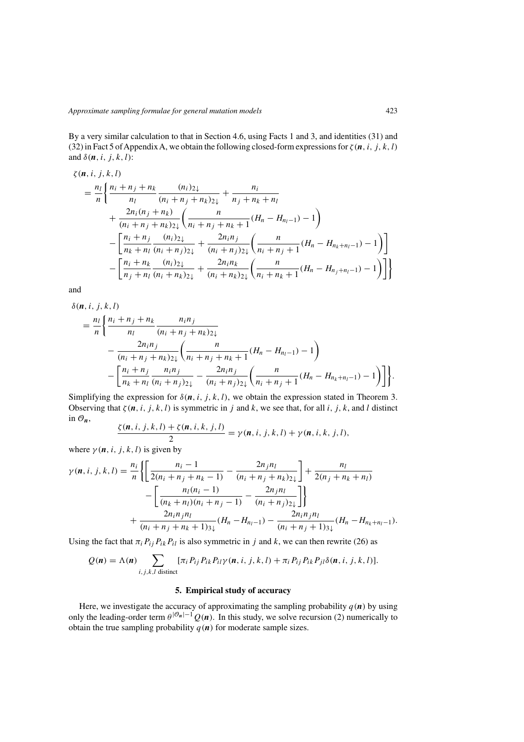<span id="page-15-0"></span>By a very similar calculation to that in Section [4.6,](#page-11-0) using Facts [1](#page-17-0) and [3,](#page-17-0) and identities [\(31\)](#page-18-0) and [\(32\)](#page-18-0) in Fact [5](#page-18-0) of Appendix [A,](#page-17-0) we obtain the following closed-form expressions for  $\zeta(n, i, j, k, l)$ and  $\delta(\mathbf{n}, i, j, k, l)$ :

$$
\zeta(n, i, j, k, l)
$$
\n
$$
= \frac{n_l}{n} \left\{ \frac{n_i + n_j + n_k}{n_l} \frac{(n_i)_{2\downarrow}}{(n_i + n_j + n_k)_{2\downarrow}} + \frac{n_i}{n_j + n_k + n_l} + \frac{2n_i(n_j + n_k)}{(n_i + n_j + n_k)_{2\downarrow}} \left( \frac{n}{n_i + n_j + n_k + 1} (H_n - H_{n_l - 1}) - 1 \right) - \left[ \frac{n_i + n_j}{n_k + n_l} \frac{(n_i)_{2\downarrow}}{(n_i + n_j)_{2\downarrow}} + \frac{2n_i n_j}{(n_i + n_j)_{2\downarrow}} \left( \frac{n}{n_i + n_j + 1} (H_n - H_{n_k + n_l - 1}) - 1 \right) \right] - \left[ \frac{n_i + n_k}{n_j + n_l} \frac{(n_i)_{2\downarrow}}{(n_i + n_k)_{2\downarrow}} + \frac{2n_i n_k}{(n_i + n_k)_{2\downarrow}} \left( \frac{n}{n_i + n_k + 1} (H_n - H_{n_j + n_l - 1}) - 1 \right) \right] \right\}
$$

and

$$
\delta(n, i, j, k, l)
$$
\n
$$
= \frac{n_l}{n} \left\{ \frac{n_i + n_j + n_k}{n_l} \frac{n_i n_j}{(n_i + n_j + n_k)_{2\downarrow}} - \frac{2n_i n_j}{(n_i + n_j + n_k)_{2\downarrow}} \left( \frac{n}{n_i + n_j + n_k + 1} (H_n - H_{n_l - 1}) - 1 \right) - \left[ \frac{n_i + n_j}{n_k + n_l} \frac{n_i n_j}{(n_i + n_j)_{2\downarrow}} - \frac{2n_i n_j}{(n_i + n_j)_{2\downarrow}} \left( \frac{n}{n_i + n_j + 1} (H_n - H_{n_k + n_l - 1}) - 1 \right) \right] \right\}.
$$

Simplifying the expression for  $\delta(n, i, j, k, l)$ , we obtain the expression stated in Theorem [3.](#page-4-0) Observing that  $\zeta(n, i, j, k, l)$  is symmetric in *j* and *k*, we see that, for all *i*, *j*, *k*, and *l* distinct in  $\mathcal{O}_n$ ,<br>  $\zeta(n, i, j, k, l) + \zeta(n, i, k, j, l)$ 

$$
\frac{\zeta(\boldsymbol{n},i,j,k,l)+\zeta(\boldsymbol{n},i,k,j,l)}{2}=\gamma(\boldsymbol{n},i,j,k,l)+\gamma(\boldsymbol{n},i,k,j,l),
$$

where  $\gamma(n, i, j, k, l)$  is given by

$$
\gamma(n, i, j, k, l) = \frac{n_i}{n} \left\{ \left[ \frac{n_i - 1}{2(n_i + n_j + n_k - 1)} - \frac{2n_j n_l}{(n_i + n_j + n_k)2\mu} \right] + \frac{n_l}{2(n_j + n_k + n_l)} - \left[ \frac{n_l(n_i - 1)}{(n_k + n_l)(n_i + n_j - 1)} - \frac{2n_j n_l}{(n_i + n_j)2\mu} \right] \right\}
$$
  
+ 
$$
\frac{2n_i n_j n_l}{(n_i + n_j + n_k + 1)3\mu} (H_n - H_{n_l - 1}) - \frac{2n_i n_j n_l}{(n_i + n_j + 1)3\mu} (H_n - H_{n_k + n_l - 1}).
$$

Using the fact that  $\pi_i P_{ij} P_{ik} P_{il}$  is also symmetric in *j* and *k*, we can then rewrite [\(26\)](#page-14-0) as

$$
Q(\boldsymbol{n}) = \Lambda(\boldsymbol{n}) \sum_{i,j,k,l \text{ distinct}} [\pi_i P_{ij} P_{ik} P_{il} \gamma(\boldsymbol{n}, i, j, k, l) + \pi_i P_{ij} P_{ik} P_{jl} \delta(\boldsymbol{n}, i, j, k, l)].
$$

### **5. Empirical study of accuracy**

Here, we investigate the accuracy of approximating the sampling probability  $q(n)$  by using only the leading-order term  $\theta^{|\mathcal{O}_n|-1}Q(n)$ . In this study, we solve recursion [\(2\)](#page-2-0) numerically to obtain the true sampling probability  $q(n)$  for moderate sample sizes.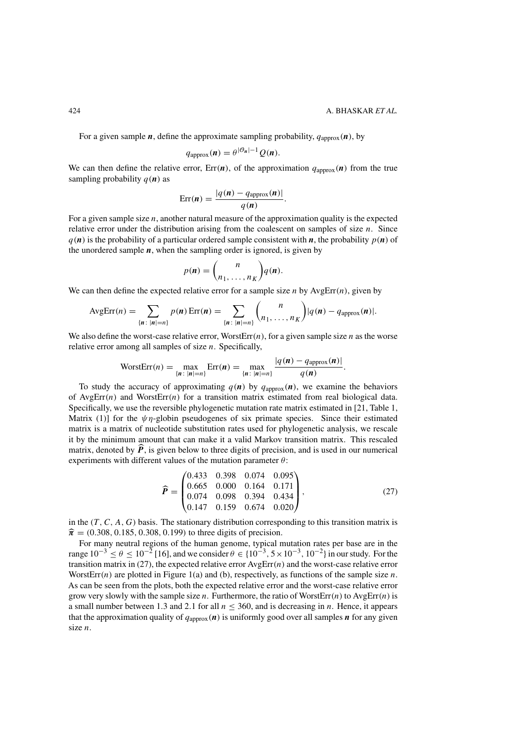<span id="page-16-0"></span>For a given sample *n*, define the approximate sampling probability,  $q_{\text{approx}}(\boldsymbol{n})$ , by

$$
q_{\text{approx}}(\boldsymbol{n}) = \theta^{|\mathcal{O}_{\boldsymbol{n}}|-1} Q(\boldsymbol{n}).
$$

We can then define the relative error,  $Err(n)$ , of the approximation  $q_{\text{approx}}(n)$  from the true sampling probability  $q(n)$  as

$$
Err(n) = \frac{|q(n) - q_{\text{approx}}(n)|}{q(n)}.
$$

For a given sample size *n*, another natural measure of the approximation quality is the expected relative error under the distribution arising from the coalescent on samples of size *n*. Since  $q(n)$  is the probability of a particular ordered sample consistent with *n*, the probability  $p(n)$  of the unordered sample  $n$ , when the sampling order is ignored, is given by

$$
p(\mathbf{n}) = {n \choose n_1, \dots, n_K} q(\mathbf{n}).
$$

We can then define the expected relative error for a sample size *n* by  $\text{AvgErr}(n)$ , given by

$$
AvgErr(n) = \sum_{\{n \colon |n|=n\}} p(n) \operatorname{Err}(n) = \sum_{\{n \colon |n|=n\}} {n \choose n_1, \dots, n_K} |q(n) - q_{\mathrm{approx}}(n)|.
$$

We also define the worst-case relative error, WorstErr $(n)$ , for a given sample size *n* as the worse relative error among all samples of size *n*. Specifically,

$$
\text{WorstErr}(n) = \max_{\{n \colon |n| = n\}} \text{Err}(n) = \max_{\{n \colon |n| = n\}} \frac{|q(n) - q_{\text{approx}}(n)|}{q(n)}.
$$

To study the accuracy of approximating  $q(n)$  by  $q_{\text{approx}}(n)$ , we examine the behaviors of AvgErr*(n)* and WorstErr*(n)* for a transition matrix estimated from real biological data. Specifically, we use the reversible phylogenetic mutation rate matrix estimated in [\[21,](#page-20-0) Table 1, Matrix (1)] for the  $\psi \eta$ -globin pseudogenes of six primate species. Since their estimated matrix is a matrix of nucleotide substitution rates used for phylogenetic analysis, we rescale it by the minimum amount that can make it a valid Markov transition matrix. This rescaled matrix, denoted by  $P$ , is given below to three digits of precision, and is used in our numerical experiments with different values of the mutation parameter *θ*:

$$
\widehat{P} = \begin{pmatrix} 0.433 & 0.398 & 0.074 & 0.095 \\ 0.665 & 0.000 & 0.164 & 0.171 \\ 0.074 & 0.098 & 0.394 & 0.434 \\ 0.147 & 0.159 & 0.674 & 0.020 \end{pmatrix},
$$
\n(27)

in the *(T , C, A, G)* basis. The stationary distribution corresponding to this transition matrix is  $\hat{\pi} = (0.308, 0.185, 0.308, 0.199)$  to three digits of precision.

For many neutral regions of the human genome, typical mutation rates per base are in the range  $10^{-3}$  ≤  $\theta$  ≤  $10^{-2}$  [\[16\]](#page-20-0), and we consider  $\theta$  ∈ { $10^{-3}$ ,  $5 \times 10^{-3}$ ,  $10^{-2}$ } in our study. For the transition matrix in  $(27)$ , the expected relative error  $AvgErr(n)$  and the worst-case relative error WorstErr*(n)* are plotted in Figure [1\(](#page-17-0)a) and (b), respectively, as functions of the sample size *n*. As can be seen from the plots, both the expected relative error and the worst-case relative error grow very slowly with the sample size *n*. Furthermore, the ratio of WorstErr $(n)$  to AvgErr $(n)$  is a small number between 1.3 and 2.1 for all  $n \leq 360$ , and is decreasing in *n*. Hence, it appears that the approximation quality of  $q_{\text{approx}}(\boldsymbol{n})$  is uniformly good over all samples  $\boldsymbol{n}$  for any given size *n*.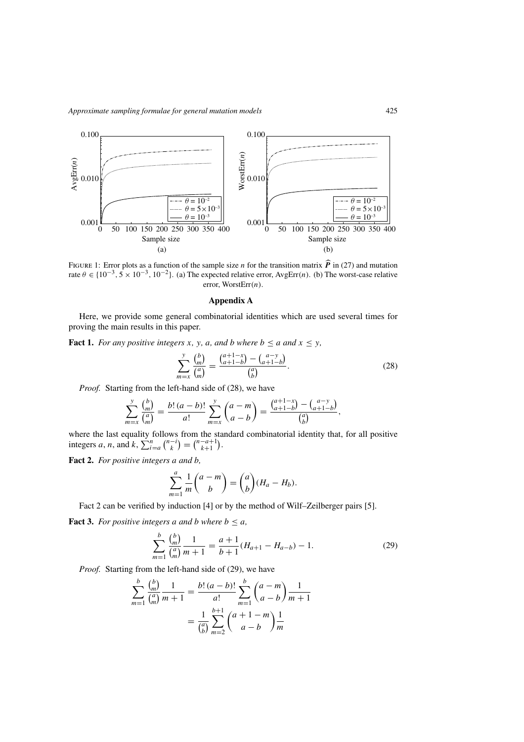<span id="page-17-0"></span>

FIGURE 1: Error plots as a function of the sample size *n* for the transition matrix *P* in [\(27\)](#page-16-0) and mutation  $\frac{1}{2}$  ( $\frac{1}{2}$  =  $\frac{1}{2}$  =  $\frac{1}{2}$  =  $\frac{1}{2}$  =  $\frac{1}{2}$  =  $\frac{1}{2}$  =  $\frac{1}{2}$  =  $\frac{1}{2}$  =  $\frac{$ rate  $\theta \in \{10^{-3}, 5 \times 10^{-3}, 10^{-2}\}$ . (a) The expected relative error, AvgErr(n). (b) The worst-case relative error, WorstErr*(n)*.

### **Appendix A**

Here, we provide some general combinatorial identities which are used several times for proving the main results in this paper.

**Fact 1.** *For any positive integers x, y, a, and b where*  $b \le a$  *and*  $x \le y$ *,* 

$$
\sum_{m=x}^{y} \frac{\binom{b}{m}}{\binom{a}{m}} = \frac{\binom{a+1-x}{a+1-b} - \binom{a-y}{a+1-b}}{\binom{a}{b}}.
$$
\n(28)

*Proof.* Starting from the left-hand side of (28), we have

$$
\sum_{m=x}^{y} \frac{\binom{b}{m}}{\binom{a}{m}} = \frac{b! \ (a-b)!}{a!} \sum_{m=x}^{y} \binom{a-m}{a-b} = \frac{\binom{a+1-x}{a+1-b} - \binom{a-y}{a+1-b}}{\binom{a}{b}},
$$

where the last equality follows from the standard combinatorial identity that, for all positive integers *a*, *n*, and *k*,  $\sum_{i=a}^{n} {n-i \choose k} = {n-a+1 \choose k+1}$ .

**Fact 2.** *For positive integers a and b,*

$$
\sum_{m=1}^{a} \frac{1}{m} {a-m \choose b} = {a \choose b} (H_a - H_b).
$$

Fact 2 can be verified by induction [\[4\]](#page-19-0) or by the method of Wilf–Zeilberger pairs [\[5\]](#page-19-0).

**Fact 3.** *For positive integers a and b where*  $b \leq a$ *,* 

$$
\sum_{m=1}^{b} \frac{\binom{b}{m}}{\binom{a}{m}} \frac{1}{m+1} = \frac{a+1}{b+1} (H_{a+1} - H_{a-b}) - 1.
$$
 (29)

*Proof.* Starting from the left-hand side of (29), we have

$$
\sum_{m=1}^{b} \frac{\binom{b}{m}}{\binom{a}{m}} \frac{1}{m+1} = \frac{b! \left(a-b\right)!}{a!} \sum_{m=1}^{b} \binom{a-m}{a-b} \frac{1}{m+1}
$$

$$
= \frac{1}{\binom{a}{b}} \sum_{m=2}^{b+1} \binom{a+1-m}{a-b} \frac{1}{m}
$$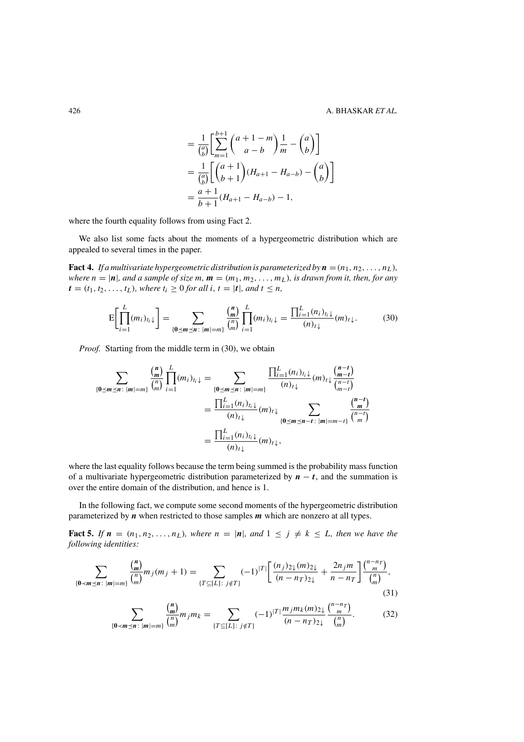$$
= \frac{1}{\binom{a}{b}} \left[ \sum_{m=1}^{b+1} {a+1-m \choose a-b} \frac{1}{m} - {a \choose b} \right]
$$
  
= 
$$
\frac{1}{\binom{a}{b}} \left[ {a+1 \choose b+1} (H_{a+1} - H_{a-b}) - {a \choose b} \right]
$$
  
= 
$$
\frac{a+1}{b+1} (H_{a+1} - H_{a-b}) - 1,
$$

<span id="page-18-0"></span>where the fourth equality follows from using Fact [2.](#page-17-0)

We also list some facts about the moments of a hypergeometric distribution which are appealed to several times in the paper.

**Fact 4.** *If a multivariate hypergeometric distribution is parameterized by*  $\mathbf{n} = (n_1, n_2, \ldots, n_L)$ *, where*  $n = |\mathbf{n}|$ *, and a sample of size*  $m$ *,*  $\mathbf{m} = (m_1, m_2, \ldots, m_L)$ *, is drawn from it, then, for any*  $t = (t_1, t_2, \ldots, t_L)$ *, where*  $t_i \geq 0$  *for all*  $i, t = |t|$ *, and*  $t \leq n$ *,* 

$$
E\left[\prod_{i=1}^{L}(m_{i})_{t_{i}}\downarrow\right] = \sum_{\{\mathbf{0}\leq m\leq n\colon |m|=m\}}\frac{\binom{n}{m}}{\binom{n}{m}}\prod_{i=1}^{L}(m_{i})_{t_{i}}\downarrow = \frac{\prod_{i=1}^{L}(n_{i})_{t_{i}}\downarrow}{(n)_{t}\downarrow}(m)_{t}\downarrow.
$$
(30)

*Proof.* Starting from the middle term in (30), we obtain

$$
\sum_{\{0 \le m \le n : |m| = m\}} \frac{\binom{n}{m}}{\binom{n}{m}} \prod_{i=1}^{L} (m_i)_{t_i \downarrow} = \sum_{\{0 \le m \le n : |m| = m\}} \frac{\prod_{i=1}^{L} (n_i)_{t_i \downarrow}}{(n)_{t \downarrow}} (m)_{t \downarrow} \frac{\binom{n-t}{m-t}}{\binom{n-t}{m-t}}}{(n)_{t \downarrow}} = \frac{\prod_{i=1}^{L} (n_i)_{t_i \downarrow}}{(n)_{t \downarrow}} (m)_{t \downarrow} \sum_{\{0 \le m \le n-t : |m| = m-t\}} \frac{\binom{n-t}{m}}{\binom{n-t}{m}}}{(n)_{t \downarrow}} = \frac{\prod_{i=1}^{L} (n_i)_{t_i \downarrow}}{(n)_{t \downarrow}} (m)_{t \downarrow},
$$

where the last equality follows because the term being summed is the probability mass function of a multivariate hypergeometric distribution parameterized by  $n - t$ , and the summation is over the entire domain of the distribution, and hence is 1.

In the following fact, we compute some second moments of the hypergeometric distribution parameterized by *n* when restricted to those samples *m* which are nonzero at all types.

**Fact 5.** *If*  $n = (n_1, n_2, \ldots, n_L)$ *, where*  $n = |\mathbf{n}|$ *, and*  $1 \leq j \neq k \leq L$ *, then we have the following identities:*

$$
\sum_{\{\mathbf{0} < \mathbf{m} \leq \mathbf{n} \colon |\mathbf{m}| = m\}} \frac{\binom{\mathbf{n}}{\mathbf{m}}}{\binom{n}{m}} m_j(m_j + 1) = \sum_{\{T \subseteq [L] : j \notin T\}} (-1)^{|T|} \left[ \frac{(n_j)_{2\downarrow}(m)_{2\downarrow}}{(n - n_T)_{2\downarrow}} + \frac{2n_j m}{n - n_T} \right] \frac{\binom{n - n_T}{m}}{\binom{n}{m}},\tag{31}
$$

$$
\sum_{\{\mathbf{0} < \mathbf{m} \leq \mathbf{n} \colon |\mathbf{m}| = m\}} \frac{\binom{\mathbf{n}}{\mathbf{m}}}{\binom{n}{m}} m_j m_k = \sum_{\{T \subseteq [L] : j \notin T\}} (-1)^{|T|} \frac{m_j m_k(m)_{2\downarrow}}{(n - n_T)_{2\downarrow}} \frac{\binom{n - n_T}{m}}{\binom{n}{m}}.
$$
(32)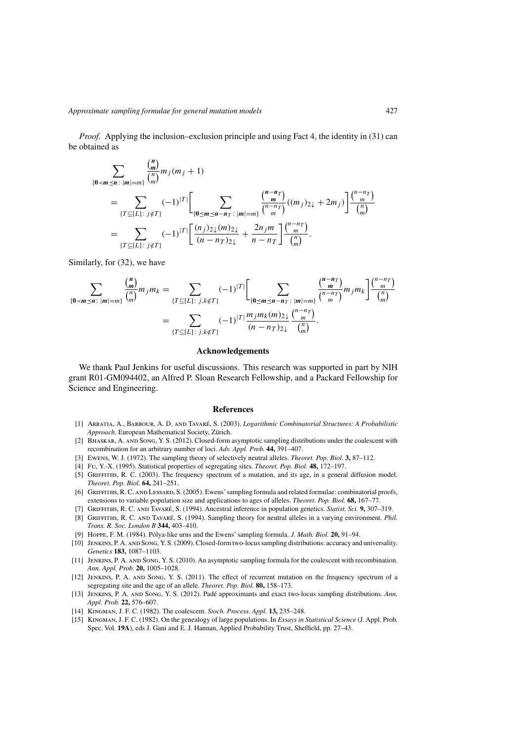<span id="page-19-0"></span>*Proof.* Applying the inclusion–exclusion principle and using Fact [4,](#page-18-0) the identity in [\(31\)](#page-18-0) can be obtained as

$$
\sum_{\{\mathbf{0} < \mathbf{m} \leq \mathbf{n} \colon |\mathbf{m}| = m\}} \frac{\binom{\mathbf{n}}{m}}{\binom{n}{m}} m_j(m_j + 1)
$$
\n
$$
= \sum_{\{T \subseteq [L] : j \notin T\}} (-1)^{|T|} \Biggl[ \sum_{\{\mathbf{0} \leq \mathbf{m} \leq \mathbf{n} - \mathbf{n}_T \colon |\mathbf{m}| = m\}} \frac{\binom{\mathbf{n} - \mathbf{n}_T}{m}}{\binom{\mathbf{n} - \mathbf{n}_T}{m}} ((m_j)_{2\downarrow} + 2m_j) \Biggr] \frac{\binom{\mathbf{n} - \mathbf{n}_T}{m}}{\binom{\mathbf{n}}{m}} \\
= \sum_{\{T \subseteq [L] : j \notin T\}} (-1)^{|T|} \Biggl[ \frac{(n_j)_{2\downarrow}(m)_{2\downarrow}}{\left(\mathbf{n} - \mathbf{n}_T\right)_{2\downarrow}} + \frac{2n_j m}{\mathbf{n} - \mathbf{n}_T} \Biggr] \frac{\binom{\mathbf{n} - \mathbf{n}_T}{m}}{\binom{\mathbf{n}}{m}}.
$$

Similarly, for [\(32\)](#page-18-0), we have

$$
\sum_{\{\mathbf{0} < \mathbf{m} \leq \mathbf{n} \colon |\mathbf{m}| = m\}} \frac{\binom{\mathbf{n}}{\mathbf{m}}}{\binom{n}{m}} m_j m_k = \sum_{\{T \subseteq [L] : j,k \notin T\}} (-1)^{|T|} \left[ \sum_{\{\mathbf{0} \leq \mathbf{m} \leq \mathbf{n} - \mathbf{n}_T \colon |\mathbf{m}| = m\}} \frac{\binom{\mathbf{n} - \mathbf{n}_T}{\mathbf{m}}}{\binom{\mathbf{n} - \mathbf{n}_T}{\mathbf{m}}} m_j m_k \right] \frac{\binom{\mathbf{n} - \mathbf{n}_T}{\mathbf{m}}}{\binom{\mathbf{n}}}{\mathbf{n}}} = \sum_{\{T \subseteq [L] : j,k \notin T\}} (-1)^{|T|} \frac{\binom{\mathbf{n} - \mathbf{n}_T}{\mathbf{m}}}{\binom{\mathbf{n} - \mathbf{n}_T}{\mathbf{m}} \cdot \frac{\binom{\mathbf{n} - \mathbf{n}_T}{\mathbf{m}}}{{\binom{\mathbf{n}}}{\mathbf{n}}}}.
$$

### **Acknowledgements**

We thank Paul Jenkins for useful discussions. This research was supported in part by NIH grant R01-GM094402, an Alfred P. Sloan Research Fellowship, and a Packard Fellowship for Science and Engineering.

#### **References**

- [1] Arratia, A., Barbour, A. D. and Tavaré, S. (2003). *Logarithmic Combinatorial Structures: A Probabilistic Approach*. European Mathematical Society, Zürich.
- [2] Bhaskar, A. and Song, Y. S. (2012). Closed-form asymptotic sampling distributions under the coalescent with recombination for an arbitrary number of loci. *Adv. Appl. Prob.* **44,** 391–407.
- [3] Ewens, W. J. (1972). The sampling theory of selectively neutral alleles. *Theoret. Pop. Biol.* **3,** 87–112.
- [4] Fu, Y.-X. (1995). Statistical properties of segregating sites. *Theoret. Pop. Biol.* **48,** 172–197.
- [5] GRIFFITHS, R. C. (2003). The frequency spectrum of a mutation, and its age, in a general diffusion model. *Theoret. Pop. Biol.* **64,** 241–251.
- [6] GRIFFITHS, R. C. AND LESSARD, S. (2005). Ewens' sampling formula and related formulae: combinatorial proofs, extensions to variable population size and applications to ages of alleles. *Theoret. Pop. Biol.* **68,** 167–77.
- [7] Griffiths, R. C. and Tavaré, S. (1994). Ancestral inference in population genetics. *Statist. Sci.* **9,** 307–319.
- [8] Griffiths, R. C. and Tavaré, S. (1994). Sampling theory for neutral alleles in a varying environment. *Phil. Trans. R. Soc. London B* **344,** 403–410.
- [9] Hoppe, F. M. (1984). Pólya-like urns and the Ewens' sampling formula. *J. Math. Biol.* **20,** 91–94.
- [10] Jenkins, P. A. and Song, Y. S. (2009). Closed-form two-locus sampling distributions: accuracy and universality. *Genetics* **183,** 1087–1103.
- [11] Jenkins, P. A. and Song, Y. S. (2010). An asymptotic sampling formula for the coalescent with recombination. *Ann. Appl. Prob.* **20,** 1005–1028.
- [12] Jenkins, P. A. and Song, Y. S. (2011). The effect of recurrent mutation on the frequency spectrum of a segregating site and the age of an allele. *Theoret. Pop. Biol.* **80,** 158–173.
- [13] Jenkins, P. A. and Song, Y. S. (2012). Padé approximants and exact two-locus sampling distributions. *Ann. Appl. Prob.* **22,** 576–607.
- [14] Kingman, J. F. C. (1982). The coalescent. *Stoch. Process. Appl.* **13,** 235–248.
- [15] Kingman, J. F. C. (1982). On the genealogy of large populations. In *Essays in Statistical Science* (J. Appl. Prob. Spec. Vol. **19A**), eds J. Gani and E. J. Hannan, Applied Probability Trust, Sheffield, pp. 27–43.